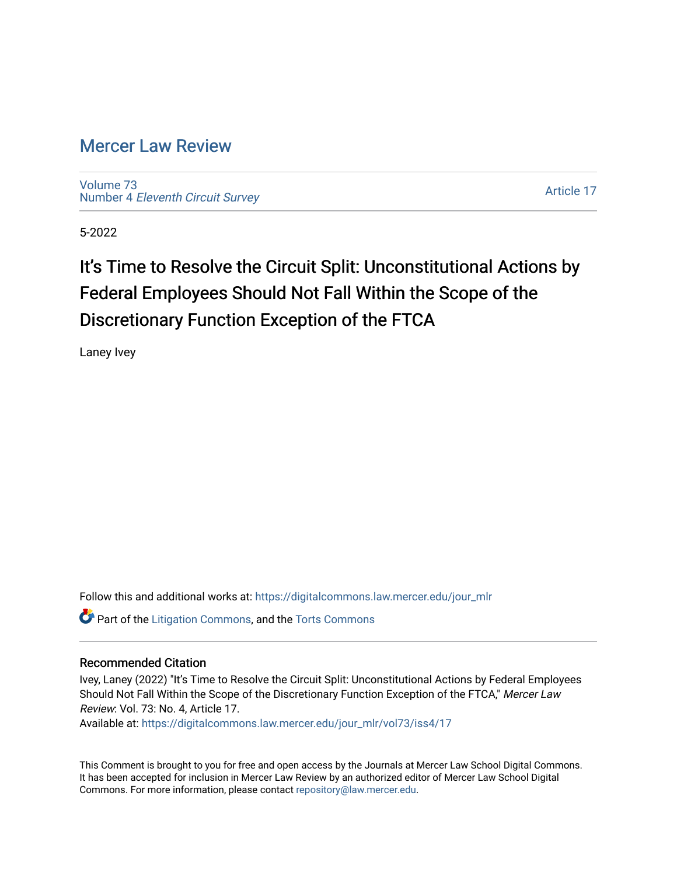## [Mercer Law Review](https://digitalcommons.law.mercer.edu/jour_mlr)

[Volume 73](https://digitalcommons.law.mercer.edu/jour_mlr/vol73) Number 4 [Eleventh Circuit Survey](https://digitalcommons.law.mercer.edu/jour_mlr/vol73/iss4) 

[Article 17](https://digitalcommons.law.mercer.edu/jour_mlr/vol73/iss4/17) 

5-2022

## It's Time to Resolve the Circuit Split: Unconstitutional Actions by Federal Employees Should Not Fall Within the Scope of the Discretionary Function Exception of the FTCA

Laney Ivey

Follow this and additional works at: [https://digitalcommons.law.mercer.edu/jour\\_mlr](https://digitalcommons.law.mercer.edu/jour_mlr?utm_source=digitalcommons.law.mercer.edu%2Fjour_mlr%2Fvol73%2Fiss4%2F17&utm_medium=PDF&utm_campaign=PDFCoverPages)

**Part of the [Litigation Commons](https://network.bepress.com/hgg/discipline/910?utm_source=digitalcommons.law.mercer.edu%2Fjour_mlr%2Fvol73%2Fiss4%2F17&utm_medium=PDF&utm_campaign=PDFCoverPages), and the [Torts Commons](https://network.bepress.com/hgg/discipline/913?utm_source=digitalcommons.law.mercer.edu%2Fjour_mlr%2Fvol73%2Fiss4%2F17&utm_medium=PDF&utm_campaign=PDFCoverPages)** 

## Recommended Citation

Ivey, Laney (2022) "It's Time to Resolve the Circuit Split: Unconstitutional Actions by Federal Employees Should Not Fall Within the Scope of the Discretionary Function Exception of the FTCA," Mercer Law Review: Vol. 73: No. 4, Article 17.

Available at: [https://digitalcommons.law.mercer.edu/jour\\_mlr/vol73/iss4/17](https://digitalcommons.law.mercer.edu/jour_mlr/vol73/iss4/17?utm_source=digitalcommons.law.mercer.edu%2Fjour_mlr%2Fvol73%2Fiss4%2F17&utm_medium=PDF&utm_campaign=PDFCoverPages) 

This Comment is brought to you for free and open access by the Journals at Mercer Law School Digital Commons. It has been accepted for inclusion in Mercer Law Review by an authorized editor of Mercer Law School Digital Commons. For more information, please contact [repository@law.mercer.edu.](mailto:repository@law.mercer.edu)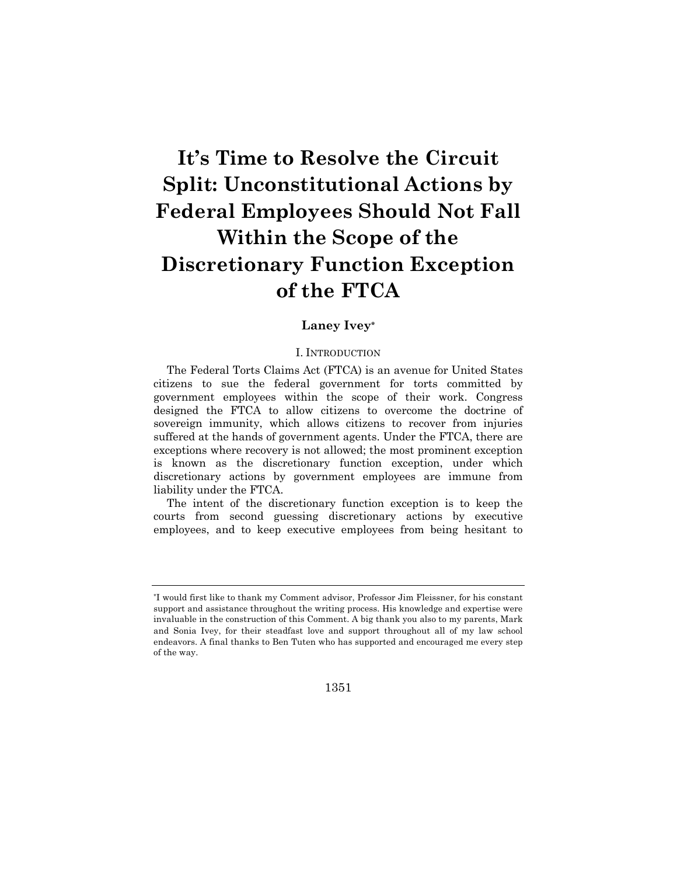# **It's Time to Resolve the Circuit Split: Unconstitutional Actions by Federal Employees Should Not Fall Within the Scope of the Discretionary Function Exception of the FTCA**

## **Laney Ivey\***

#### I. INTRODUCTION

The Federal Torts Claims Act (FTCA) is an avenue for United States citizens to sue the federal government for torts committed by government employees within the scope of their work. Congress designed the FTCA to allow citizens to overcome the doctrine of sovereign immunity, which allows citizens to recover from injuries suffered at the hands of government agents. Under the FTCA, there are exceptions where recovery is not allowed; the most prominent exception is known as the discretionary function exception, under which discretionary actions by government employees are immune from liability under the FTCA.

The intent of the discretionary function exception is to keep the courts from second guessing discretionary actions by executive employees, and to keep executive employees from being hesitant to

1351

<sup>\*</sup>I would first like to thank my Comment advisor, Professor Jim Fleissner, for his constant support and assistance throughout the writing process. His knowledge and expertise were invaluable in the construction of this Comment. A big thank you also to my parents, Mark and Sonia Ivey, for their steadfast love and support throughout all of my law school endeavors. A final thanks to Ben Tuten who has supported and encouraged me every step of the way.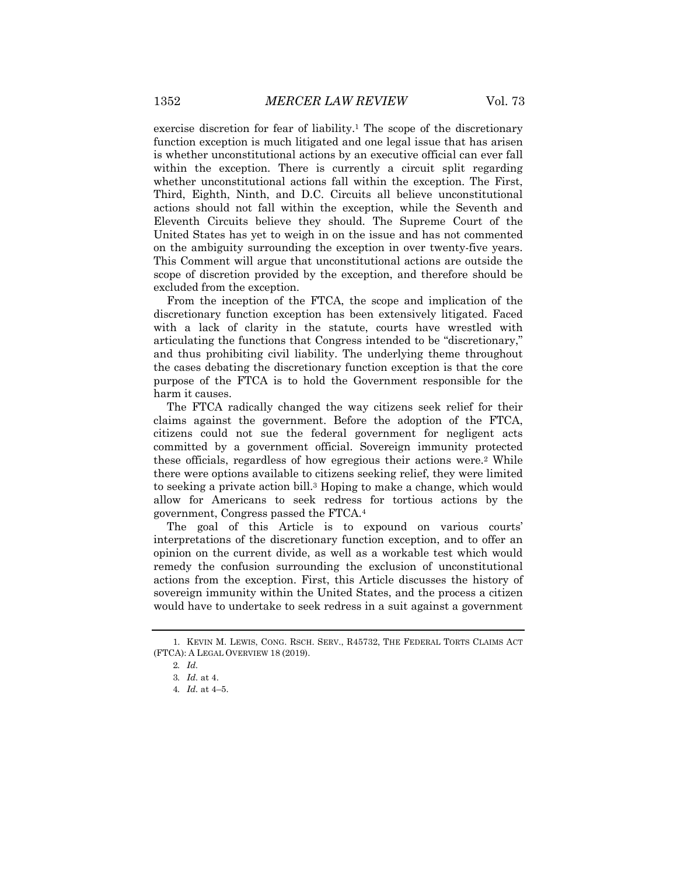exercise discretion for fear of liability.<sup>1</sup> The scope of the discretionary function exception is much litigated and one legal issue that has arisen is whether unconstitutional actions by an executive official can ever fall within the exception. There is currently a circuit split regarding whether unconstitutional actions fall within the exception. The First, Third, Eighth, Ninth, and D.C. Circuits all believe unconstitutional actions should not fall within the exception, while the Seventh and Eleventh Circuits believe they should. The Supreme Court of the United States has yet to weigh in on the issue and has not commented on the ambiguity surrounding the exception in over twenty-five years. This Comment will argue that unconstitutional actions are outside the scope of discretion provided by the exception, and therefore should be excluded from the exception.

From the inception of the FTCA, the scope and implication of the discretionary function exception has been extensively litigated. Faced with a lack of clarity in the statute, courts have wrestled with articulating the functions that Congress intended to be "discretionary," and thus prohibiting civil liability. The underlying theme throughout the cases debating the discretionary function exception is that the core purpose of the FTCA is to hold the Government responsible for the harm it causes.

The FTCA radically changed the way citizens seek relief for their claims against the government. Before the adoption of the FTCA, citizens could not sue the federal government for negligent acts committed by a government official. Sovereign immunity protected these officials, regardless of how egregious their actions were.2 While there were options available to citizens seeking relief, they were limited to seeking a private action bill.3 Hoping to make a change, which would allow for Americans to seek redress for tortious actions by the government, Congress passed the FTCA.4

The goal of this Article is to expound on various courts' interpretations of the discretionary function exception, and to offer an opinion on the current divide, as well as a workable test which would remedy the confusion surrounding the exclusion of unconstitutional actions from the exception. First, this Article discusses the history of sovereign immunity within the United States, and the process a citizen would have to undertake to seek redress in a suit against a government

<sup>1.</sup> KEVIN M. LEWIS, CONG. RSCH. SERV., R45732, THE FEDERAL TORTS CLAIMS ACT (FTCA): A LEGAL OVERVIEW 18 (2019).

<sup>2</sup>*. Id.*

<sup>3</sup>*. Id.* at 4.

<sup>4</sup>*. Id.* at 4–5.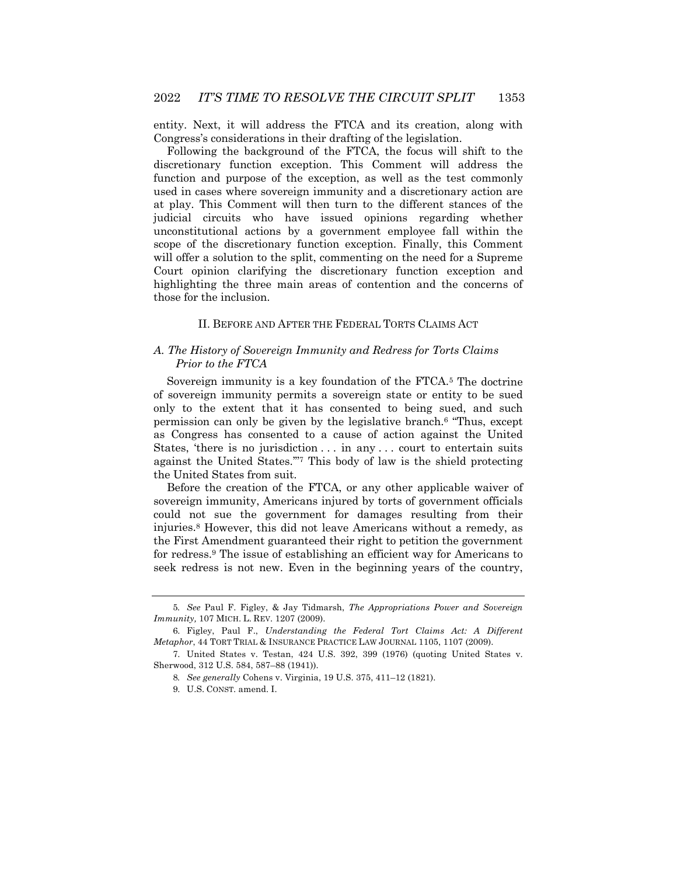entity. Next, it will address the FTCA and its creation, along with Congress's considerations in their drafting of the legislation.

Following the background of the FTCA, the focus will shift to the discretionary function exception. This Comment will address the function and purpose of the exception, as well as the test commonly used in cases where sovereign immunity and a discretionary action are at play. This Comment will then turn to the different stances of the judicial circuits who have issued opinions regarding whether unconstitutional actions by a government employee fall within the scope of the discretionary function exception. Finally, this Comment will offer a solution to the split, commenting on the need for a Supreme Court opinion clarifying the discretionary function exception and highlighting the three main areas of contention and the concerns of those for the inclusion.

#### II. BEFORE AND AFTER THE FEDERAL TORTS CLAIMS ACT

#### *A. The History of Sovereign Immunity and Redress for Torts Claims Prior to the FTCA*

Sovereign immunity is a key foundation of the FTCA.5 The doctrine of sovereign immunity permits a sovereign state or entity to be sued only to the extent that it has consented to being sued, and such permission can only be given by the legislative branch.6 "Thus, except as Congress has consented to a cause of action against the United States, 'there is no jurisdiction . . . in any . . . court to entertain suits against the United States.'"7 This body of law is the shield protecting the United States from suit.

Before the creation of the FTCA, or any other applicable waiver of sovereign immunity, Americans injured by torts of government officials could not sue the government for damages resulting from their injuries.8 However, this did not leave Americans without a remedy, as the First Amendment guaranteed their right to petition the government for redress.9 The issue of establishing an efficient way for Americans to seek redress is not new. Even in the beginning years of the country,

<sup>5</sup>*. See* Paul F. Figley, & Jay Tidmarsh, *The Appropriations Power and Sovereign Immunity,* 107 MICH. L. REV. 1207 (2009).

<sup>6.</sup> Figley, Paul F., *Understanding the Federal Tort Claims Act: A Different Metaphor*, 44 TORT TRIAL & INSURANCE PRACTICE LAW JOURNAL 1105, 1107 (2009).

<sup>7.</sup> United States v. Testan, 424 U.S. 392, 399 (1976) (quoting United States v. Sherwood, 312 U.S. 584, 587–88 (1941)).

<sup>8</sup>*. See generally* Cohens v. Virginia, 19 U.S. 375, 411–12 (1821).

<sup>9.</sup> U.S. CONST. amend. I.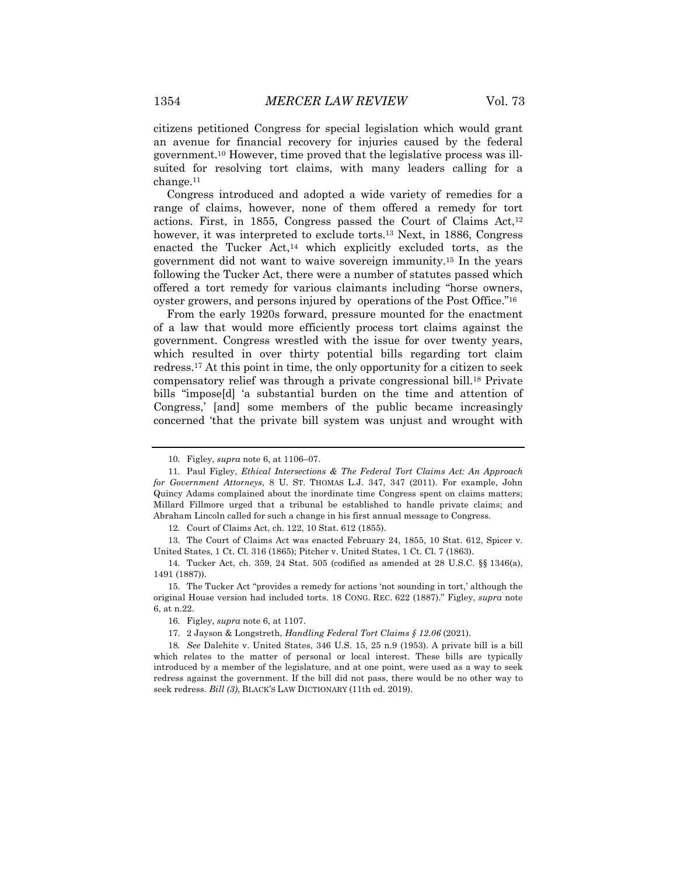citizens petitioned Congress for special legislation which would grant an avenue for financial recovery for injuries caused by the federal government.10 However, time proved that the legislative process was illsuited for resolving tort claims, with many leaders calling for a change.11

Congress introduced and adopted a wide variety of remedies for a range of claims, however, none of them offered a remedy for tort actions. First, in 1855, Congress passed the Court of Claims  $Act<sup>12</sup>$ however, it was interpreted to exclude torts.13 Next, in 1886, Congress enacted the Tucker  $Act^{14}$  which explicitly excluded torts, as the government did not want to waive sovereign immunity.15 In the years following the Tucker Act, there were a number of statutes passed which offered a tort remedy for various claimants including "horse owners, oyster growers, and persons injured by operations of the Post Office."16

From the early 1920s forward, pressure mounted for the enactment of a law that would more efficiently process tort claims against the government. Congress wrestled with the issue for over twenty years, which resulted in over thirty potential bills regarding tort claim redress.17 At this point in time, the only opportunity for a citizen to seek compensatory relief was through a private congressional bill.18 Private bills "impose[d] 'a substantial burden on the time and attention of Congress,' [and] some members of the public became increasingly concerned 'that the private bill system was unjust and wrought with

12. Court of Claims Act, ch. 122, 10 Stat. 612 (1855).

13. The Court of Claims Act was enacted February 24, 1855, 10 Stat. 612, Spicer v. United States, 1 Ct. Cl. 316 (1865); Pitcher v. United States, 1 Ct. Cl. 7 (1863).

14. Tucker Act, ch. 359, 24 Stat. 505 (codified as amended at 28 U.S.C. §§ 1346(a), 1491 (1887)).

15. The Tucker Act "provides a remedy for actions 'not sounding in tort,' although the original House version had included torts. 18 CONG. REC. 622 (1887)." Figley, *supra* note 6, at n.22.

17. 2 Jayson & Longstreth, *Handling Federal Tort Claims § 12.06* (2021).

18*. See* Dalehite v. United States, 346 U.S. 15, 25 n.9 (1953). A private bill is a bill which relates to the matter of personal or local interest. These bills are typically introduced by a member of the legislature, and at one point, were used as a way to seek redress against the government. If the bill did not pass, there would be no other way to seek redress. *Bill (3)*, BLACK'S LAW DICTIONARY (11th ed. 2019).

<sup>10.</sup> Figley, *supra* note 6, at 1106–07.

<sup>11.</sup> Paul Figley, *Ethical Intersections & The Federal Tort Claims Act: An Approach for Government Attorneys*, 8 U. ST. THOMAS L.J. 347, 347 (2011). For example, John Quincy Adams complained about the inordinate time Congress spent on claims matters; Millard Fillmore urged that a tribunal be established to handle private claims; and Abraham Lincoln called for such a change in his first annual message to Congress.

<sup>16.</sup> Figley, *supra* note 6, at 1107.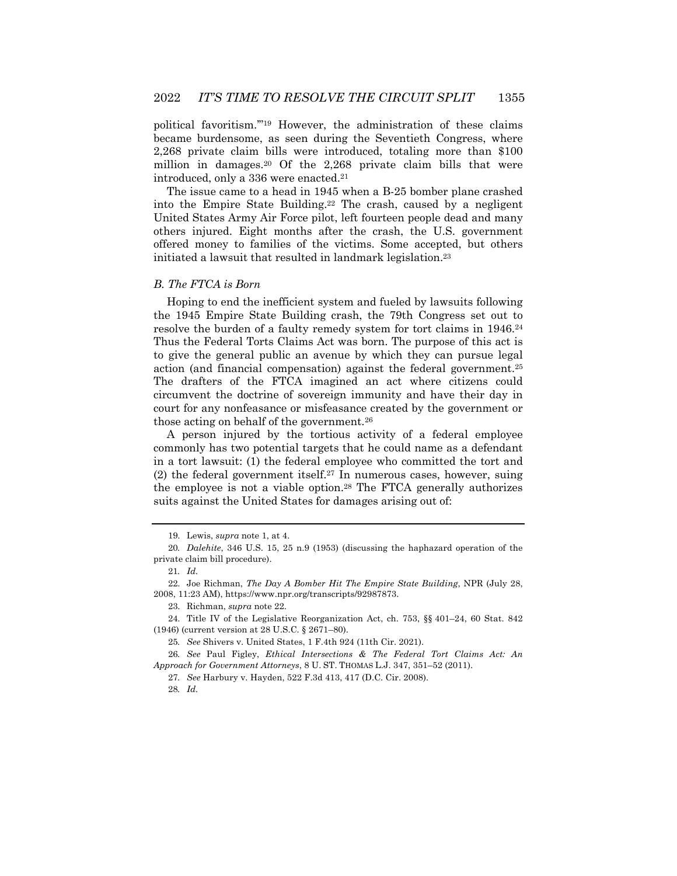political favoritism.'"19 However, the administration of these claims became burdensome, as seen during the Seventieth Congress, where 2,268 private claim bills were introduced, totaling more than \$100 million in damages.20 Of the 2,268 private claim bills that were introduced, only a 336 were enacted.21

The issue came to a head in 1945 when a B-25 bomber plane crashed into the Empire State Building.22 The crash, caused by a negligent United States Army Air Force pilot, left fourteen people dead and many others injured. Eight months after the crash, the U.S. government offered money to families of the victims. Some accepted, but others initiated a lawsuit that resulted in landmark legislation.23

#### *B. The FTCA is Born*

Hoping to end the inefficient system and fueled by lawsuits following the 1945 Empire State Building crash, the 79th Congress set out to resolve the burden of a faulty remedy system for tort claims in 1946.24 Thus the Federal Torts Claims Act was born. The purpose of this act is to give the general public an avenue by which they can pursue legal action (and financial compensation) against the federal government.25 The drafters of the FTCA imagined an act where citizens could circumvent the doctrine of sovereign immunity and have their day in court for any nonfeasance or misfeasance created by the government or those acting on behalf of the government.26

A person injured by the tortious activity of a federal employee commonly has two potential targets that he could name as a defendant in a tort lawsuit: (1) the federal employee who committed the tort and (2) the federal government itself.27 In numerous cases, however, suing the employee is not a viable option.28 The FTCA generally authorizes suits against the United States for damages arising out of:

<sup>19.</sup> Lewis, *supra* note 1, at 4.

<sup>20</sup>*. Dalehite*, 346 U.S. 15, 25 n.9 (1953) (discussing the haphazard operation of the private claim bill procedure).

<sup>21</sup>*. Id.*

<sup>22.</sup> Joe Richman, *The Day A Bomber Hit The Empire State Building*, NPR (July 28, 2008, 11:23 AM), https://www.npr.org/transcripts/92987873.

<sup>23.</sup> Richman, *supra* note 22.

<sup>24.</sup> Title IV of the Legislative Reorganization Act, ch. 753, §§ 401–24, 60 Stat. 842 (1946) (current version at 28 U.S.C. § 2671–80).

<sup>25</sup>*. See* Shivers v. United States, 1 F.4th 924 (11th Cir. 2021).

<sup>26</sup>*. See* Paul Figley, *Ethical Intersections & The Federal Tort Claims Act: An Approach for Government Attorneys*, 8 U. ST. THOMAS L.J. 347, 351–52 (2011).

<sup>27</sup>*. See* Harbury v. Hayden, 522 F.3d 413, 417 (D.C. Cir. 2008).

<sup>28</sup>*. Id.*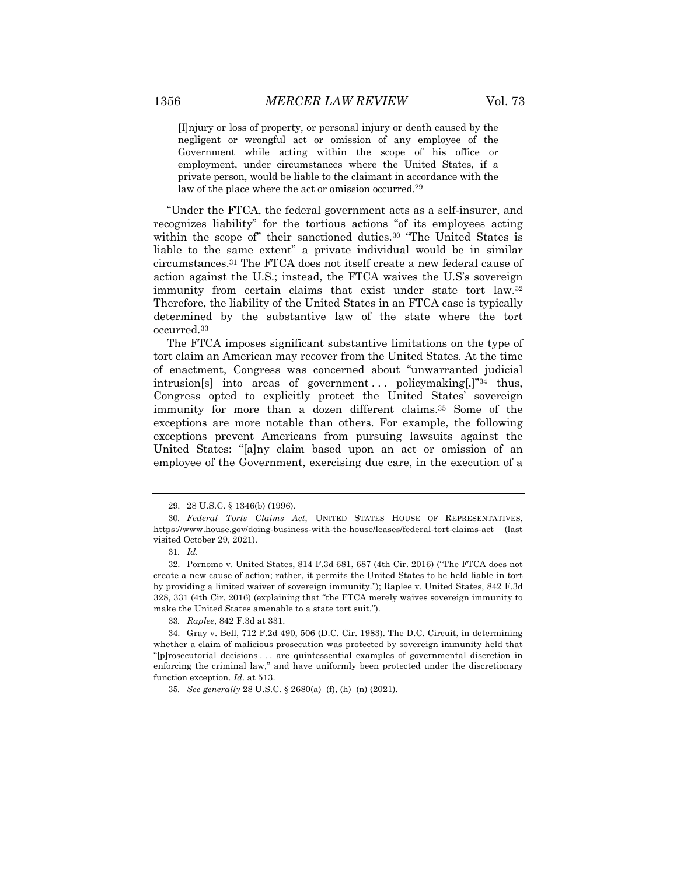[I]njury or loss of property, or personal injury or death caused by the negligent or wrongful act or omission of any employee of the Government while acting within the scope of his office or employment, under circumstances where the United States, if a private person, would be liable to the claimant in accordance with the law of the place where the act or omission occurred.<sup>29</sup>

"Under the FTCA, the federal government acts as a self-insurer, and recognizes liability" for the tortious actions "of its employees acting within the scope of" their sanctioned duties.<sup>30</sup> "The United States is liable to the same extent" a private individual would be in similar circumstances.31 The FTCA does not itself create a new federal cause of action against the U.S.; instead, the FTCA waives the U.S's sovereign immunity from certain claims that exist under state tort law.32 Therefore, the liability of the United States in an FTCA case is typically determined by the substantive law of the state where the tort occurred.33

The FTCA imposes significant substantive limitations on the type of tort claim an American may recover from the United States. At the time of enactment, Congress was concerned about "unwarranted judicial intrusion[s] into areas of government ... policymaking[,]"34 thus, Congress opted to explicitly protect the United States' sovereign immunity for more than a dozen different claims.35 Some of the exceptions are more notable than others. For example, the following exceptions prevent Americans from pursuing lawsuits against the United States: "[a]ny claim based upon an act or omission of an employee of the Government, exercising due care, in the execution of a

33*. Raplee*, 842 F.3d at 331.

35*. See generally* 28 U.S.C. § 2680(a)–(f), (h)–(n) (2021).

<sup>29.</sup> 28 U.S.C. § 1346(b) (1996).

<sup>30</sup>*. Federal Torts Claims Act,* UNITED STATES HOUSE OF REPRESENTATIVES, https://www.house.gov/doing-business-with-the-house/leases/federal-tort-claims-act (last visited October 29, 2021).

<sup>31</sup>*. Id.*

<sup>32.</sup> Pornomo v. United States, 814 F.3d 681, 687 (4th Cir. 2016) ("The FTCA does not create a new cause of action; rather, it permits the United States to be held liable in tort by providing a limited waiver of sovereign immunity."); Raplee v. United States, 842 F.3d 328, 331 (4th Cir. 2016) (explaining that "the FTCA merely waives sovereign immunity to make the United States amenable to a state tort suit.").

<sup>34.</sup> Gray v. Bell, 712 F.2d 490, 506 (D.C. Cir. 1983). The D.C. Circuit, in determining whether a claim of malicious prosecution was protected by sovereign immunity held that "[p]rosecutorial decisions . . . are quintessential examples of governmental discretion in enforcing the criminal law," and have uniformly been protected under the discretionary function exception. *Id.* at 513.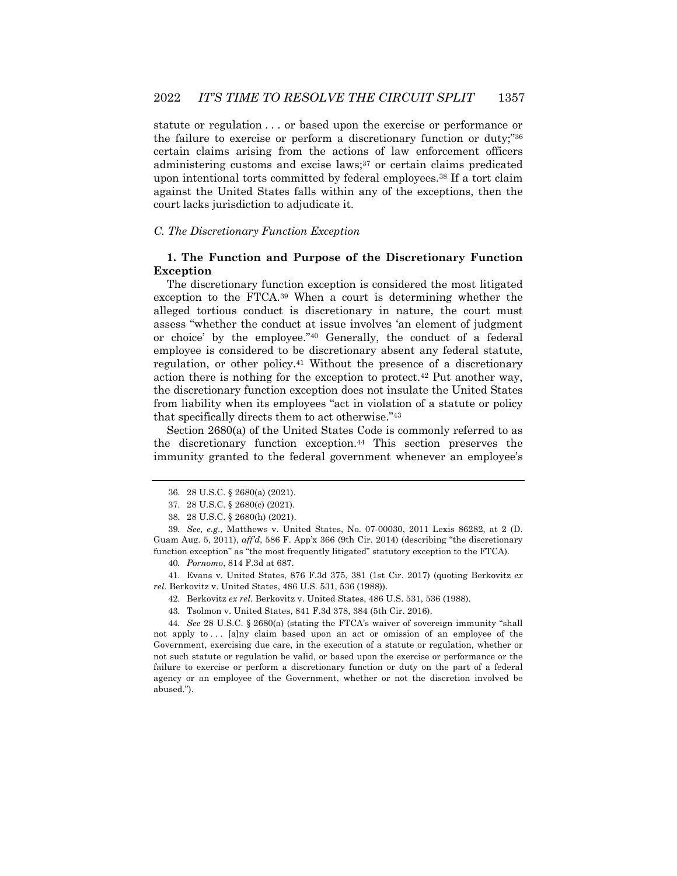statute or regulation . . . or based upon the exercise or performance or the failure to exercise or perform a discretionary function or duty;"36 certain claims arising from the actions of law enforcement officers administering customs and excise laws;37 or certain claims predicated upon intentional torts committed by federal employees.38 If a tort claim against the United States falls within any of the exceptions, then the court lacks jurisdiction to adjudicate it.

## *C. The Discretionary Function Exception*

## **1. The Function and Purpose of the Discretionary Function Exception**

The discretionary function exception is considered the most litigated exception to the FTCA.39 When a court is determining whether the alleged tortious conduct is discretionary in nature, the court must assess "whether the conduct at issue involves 'an element of judgment or choice' by the employee."40 Generally, the conduct of a federal employee is considered to be discretionary absent any federal statute, regulation, or other policy.41 Without the presence of a discretionary action there is nothing for the exception to protect.42 Put another way, the discretionary function exception does not insulate the United States from liability when its employees "act in violation of a statute or policy that specifically directs them to act otherwise."43

Section 2680(a) of the United States Code is commonly referred to as the discretionary function exception.44 This section preserves the immunity granted to the federal government whenever an employee's

39*. See, e.g.*, Matthews v. United States, No. 07-00030, 2011 Lexis 86282, at 2 (D. Guam Aug. 5, 2011), *aff'd*, 586 F. App'x 366 (9th Cir. 2014) (describing "the discretionary function exception" as "the most frequently litigated" statutory exception to the FTCA).

40*. Pornomo*, 814 F.3d at 687.

41. Evans v. United States, 876 F.3d 375, 381 (1st Cir. 2017) (quoting Berkovitz *ex rel.* Berkovitz v. United States, 486 U.S. 531, 536 (1988)).

- 42. Berkovitz *ex rel.* Berkovitz v. United States, 486 U.S. 531, 536 (1988).
- 43. Tsolmon v. United States, 841 F.3d 378, 384 (5th Cir. 2016).

44*. See* 28 U.S.C. § 2680(a) (stating the FTCA's waiver of sovereign immunity "shall not apply to . . . [a]ny claim based upon an act or omission of an employee of the Government, exercising due care, in the execution of a statute or regulation, whether or not such statute or regulation be valid, or based upon the exercise or performance or the failure to exercise or perform a discretionary function or duty on the part of a federal agency or an employee of the Government, whether or not the discretion involved be abused.").

<sup>36.</sup> 28 U.S.C. § 2680(a) (2021).

<sup>37.</sup> 28 U.S.C. § 2680(c) (2021).

<sup>38.</sup> 28 U.S.C. § 2680(h) (2021).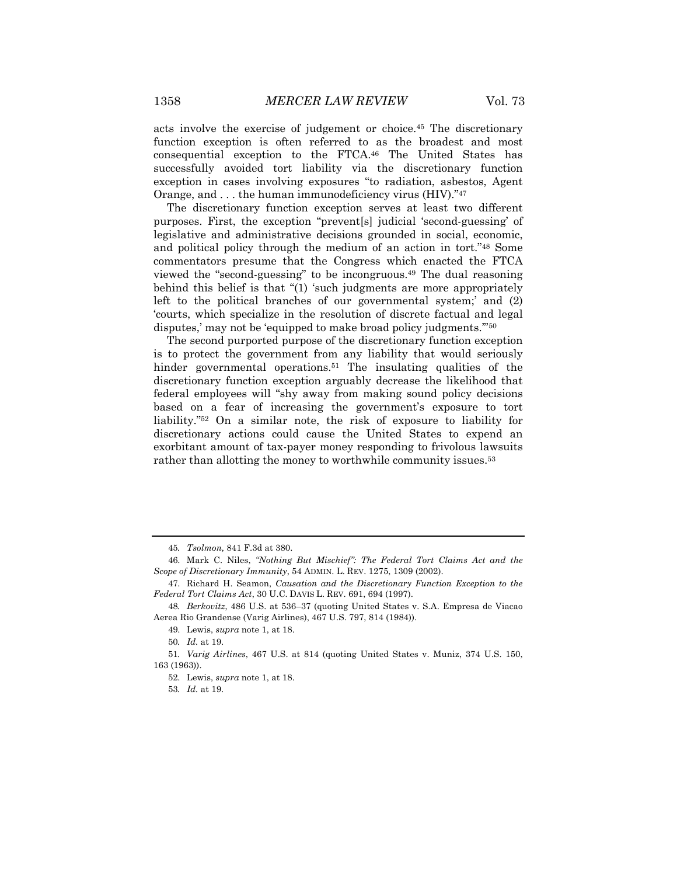acts involve the exercise of judgement or choice.45 The discretionary function exception is often referred to as the broadest and most consequential exception to the FTCA.46 The United States has successfully avoided tort liability via the discretionary function exception in cases involving exposures "to radiation, asbestos, Agent

Orange, and . . . the human immunodeficiency virus (HIV)."47 The discretionary function exception serves at least two different purposes. First, the exception "prevent[s] judicial 'second-guessing' of legislative and administrative decisions grounded in social, economic, and political policy through the medium of an action in tort."48 Some commentators presume that the Congress which enacted the FTCA viewed the "second-guessing" to be incongruous.49 The dual reasoning behind this belief is that "(1) 'such judgments are more appropriately left to the political branches of our governmental system;' and (2) 'courts, which specialize in the resolution of discrete factual and legal disputes,' may not be 'equipped to make broad policy judgments."<sup>50</sup>

The second purported purpose of the discretionary function exception is to protect the government from any liability that would seriously hinder governmental operations.<sup>51</sup> The insulating qualities of the discretionary function exception arguably decrease the likelihood that federal employees will "shy away from making sound policy decisions based on a fear of increasing the government's exposure to tort liability."52 On a similar note, the risk of exposure to liability for discretionary actions could cause the United States to expend an exorbitant amount of tax-payer money responding to frivolous lawsuits rather than allotting the money to worthwhile community issues.<sup>53</sup>

<sup>45</sup>*. Tsolmon,* 841 F.3d at 380.

<sup>46.</sup> Mark C. Niles, *"Nothing But Mischief": The Federal Tort Claims Act and the Scope of Discretionary Immunity*, 54 ADMIN. L. REV. 1275, 1309 (2002).

<sup>47.</sup> Richard H. Seamon, *Causation and the Discretionary Function Exception to the Federal Tort Claims Act*, 30 U.C. DAVIS L. REV. 691, 694 (1997).

<sup>48</sup>*. Berkovitz*, 486 U.S. at 536–37 (quoting United States v. S.A. Empresa de Viacao Aerea Rio Grandense (Varig Airlines), 467 U.S. 797, 814 (1984)).

<sup>49.</sup> Lewis, *supra* note 1, at 18.

<sup>50</sup>*. Id.* at 19.

<sup>51</sup>*. Varig Airlines*, 467 U.S. at 814 (quoting United States v. Muniz, 374 U.S. 150, 163 (1963)).

<sup>52.</sup> Lewis, *supra* note 1, at 18.

<sup>53</sup>*. Id.* at 19.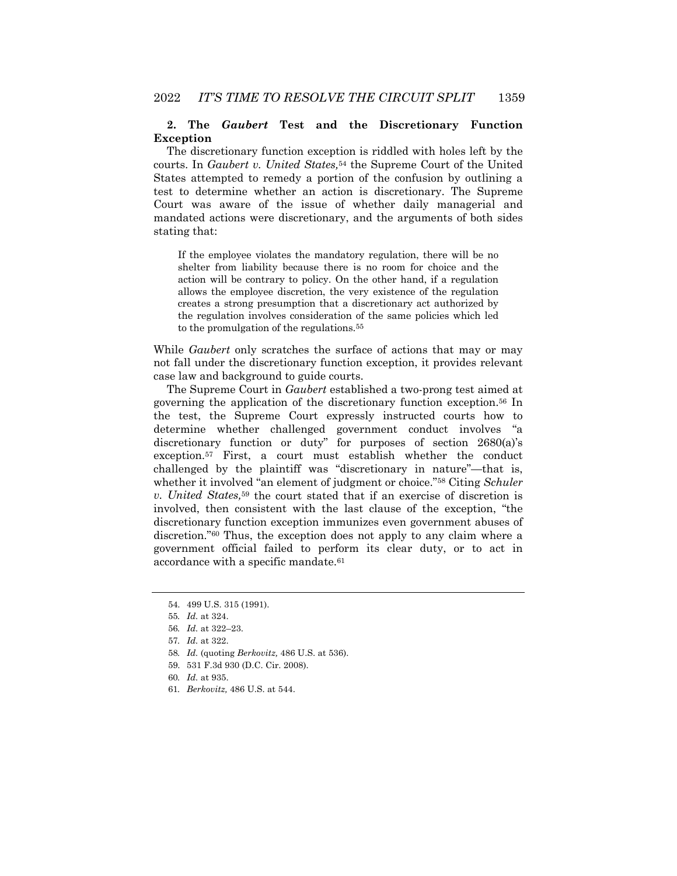## **2. The** *Gaubert* **Test and the Discretionary Function Exception**

The discretionary function exception is riddled with holes left by the courts. In *Gaubert v. United States,*<sup>54</sup> the Supreme Court of the United States attempted to remedy a portion of the confusion by outlining a test to determine whether an action is discretionary. The Supreme Court was aware of the issue of whether daily managerial and mandated actions were discretionary, and the arguments of both sides stating that:

If the employee violates the mandatory regulation, there will be no shelter from liability because there is no room for choice and the action will be contrary to policy. On the other hand, if a regulation allows the employee discretion, the very existence of the regulation creates a strong presumption that a discretionary act authorized by the regulation involves consideration of the same policies which led to the promulgation of the regulations.55

While *Gaubert* only scratches the surface of actions that may or may not fall under the discretionary function exception, it provides relevant case law and background to guide courts.

The Supreme Court in *Gaubert* established a two-prong test aimed at governing the application of the discretionary function exception.56 In the test, the Supreme Court expressly instructed courts how to determine whether challenged government conduct involves "a discretionary function or duty" for purposes of section 2680(a)'s exception.57 First, a court must establish whether the conduct challenged by the plaintiff was "discretionary in nature"—that is, whether it involved "an element of judgment or choice."58 Citing *Schuler v. United States,*<sup>59</sup> the court stated that if an exercise of discretion is involved, then consistent with the last clause of the exception, "the discretionary function exception immunizes even government abuses of discretion."60 Thus, the exception does not apply to any claim where a government official failed to perform its clear duty, or to act in accordance with a specific mandate.<sup>61</sup>

- 60*. Id.* at 935.
- 61*. Berkovitz,* 486 U.S. at 544.

<sup>54.</sup> 499 U.S. 315 (1991).

<sup>55</sup>*. Id.* at 324.

<sup>56</sup>*. Id.* at 322–23.

<sup>57</sup>*. Id.* at 322.

<sup>58</sup>*. Id.* (quoting *Berkovitz,* 486 U.S. at 536).

<sup>59.</sup> 531 F.3d 930 (D.C. Cir. 2008).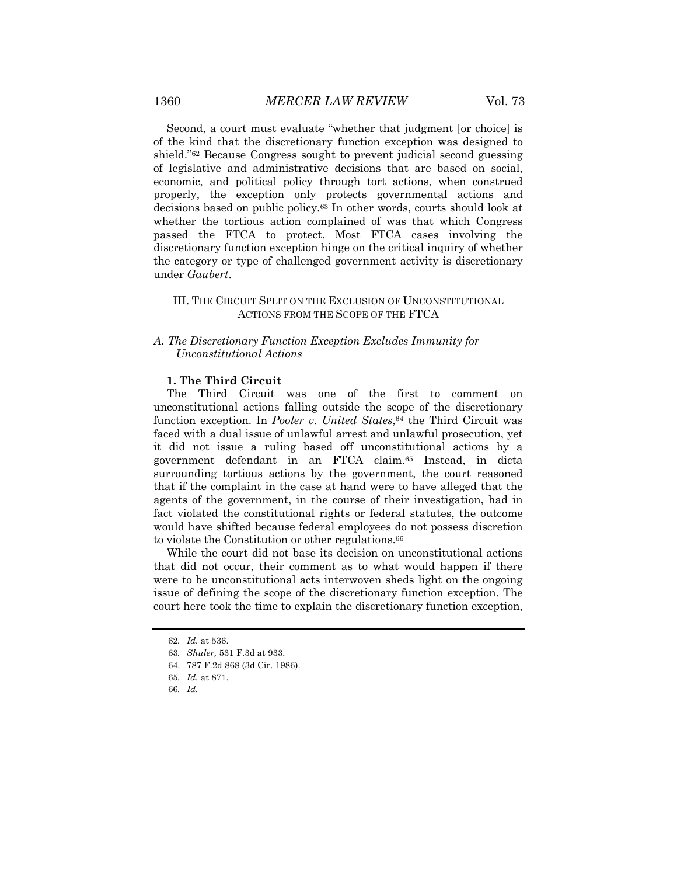Second, a court must evaluate "whether that judgment [or choice] is of the kind that the discretionary function exception was designed to shield."62 Because Congress sought to prevent judicial second guessing of legislative and administrative decisions that are based on social, economic, and political policy through tort actions, when construed properly, the exception only protects governmental actions and decisions based on public policy.63 In other words, courts should look at whether the tortious action complained of was that which Congress passed the FTCA to protect. Most FTCA cases involving the discretionary function exception hinge on the critical inquiry of whether the category or type of challenged government activity is discretionary under *Gaubert*.

## III. THE CIRCUIT SPLIT ON THE EXCLUSION OF UNCONSTITUTIONAL ACTIONS FROM THE SCOPE OF THE FTCA

## *A. The Discretionary Function Exception Excludes Immunity for Unconstitutional Actions*

#### **1. The Third Circuit**

The Third Circuit was one of the first to comment on unconstitutional actions falling outside the scope of the discretionary function exception. In *Pooler v. United States*,<sup>64</sup> the Third Circuit was faced with a dual issue of unlawful arrest and unlawful prosecution, yet it did not issue a ruling based off unconstitutional actions by a government defendant in an FTCA claim.65 Instead, in dicta surrounding tortious actions by the government, the court reasoned that if the complaint in the case at hand were to have alleged that the agents of the government, in the course of their investigation, had in fact violated the constitutional rights or federal statutes, the outcome would have shifted because federal employees do not possess discretion to violate the Constitution or other regulations.<sup>66</sup>

While the court did not base its decision on unconstitutional actions that did not occur, their comment as to what would happen if there were to be unconstitutional acts interwoven sheds light on the ongoing issue of defining the scope of the discretionary function exception. The court here took the time to explain the discretionary function exception,

<sup>62</sup>*. Id.* at 536.

<sup>63</sup>*. Shuler,* 531 F.3d at 933.

<sup>64.</sup> 787 F.2d 868 (3d Cir. 1986).

<sup>65</sup>*. Id.* at 871.

<sup>66</sup>*. Id.*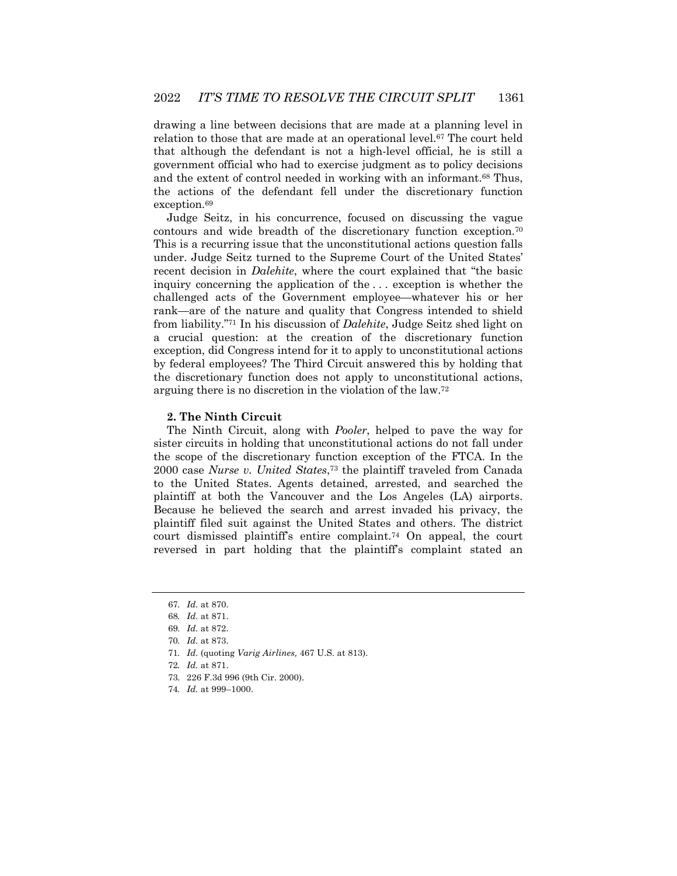drawing a line between decisions that are made at a planning level in relation to those that are made at an operational level.67 The court held that although the defendant is not a high-level official, he is still a government official who had to exercise judgment as to policy decisions and the extent of control needed in working with an informant.68 Thus, the actions of the defendant fell under the discretionary function exception.<sup>69</sup>

Judge Seitz, in his concurrence, focused on discussing the vague contours and wide breadth of the discretionary function exception.70 This is a recurring issue that the unconstitutional actions question falls under. Judge Seitz turned to the Supreme Court of the United States' recent decision in *Dalehite*, where the court explained that "the basic inquiry concerning the application of the . . . exception is whether the challenged acts of the Government employee—whatever his or her rank—are of the nature and quality that Congress intended to shield from liability."71 In his discussion of *Dalehite*, Judge Seitz shed light on a crucial question: at the creation of the discretionary function exception, did Congress intend for it to apply to unconstitutional actions by federal employees? The Third Circuit answered this by holding that the discretionary function does not apply to unconstitutional actions, arguing there is no discretion in the violation of the law.72

#### **2. The Ninth Circuit**

The Ninth Circuit, along with *Pooler*, helped to pave the way for sister circuits in holding that unconstitutional actions do not fall under the scope of the discretionary function exception of the FTCA. In the 2000 case *Nurse v. United States*,73 the plaintiff traveled from Canada to the United States. Agents detained, arrested, and searched the plaintiff at both the Vancouver and the Los Angeles (LA) airports. Because he believed the search and arrest invaded his privacy, the plaintiff filed suit against the United States and others. The district court dismissed plaintiff's entire complaint.<sup>74</sup> On appeal, the court reversed in part holding that the plaintiff's complaint stated an

<sup>67</sup>*. Id.* at 870.

<sup>68</sup>*. Id.* at 871.

<sup>69</sup>*. Id.* at 872.

<sup>70</sup>*. Id.* at 873.

<sup>71</sup>*. Id.* (quoting *Varig Airlines,* 467 U.S. at 813).

<sup>72</sup>*. Id.* at 871.

<sup>73.</sup> 226 F.3d 996 (9th Cir. 2000).

<sup>74</sup>*. Id.* at 999–1000.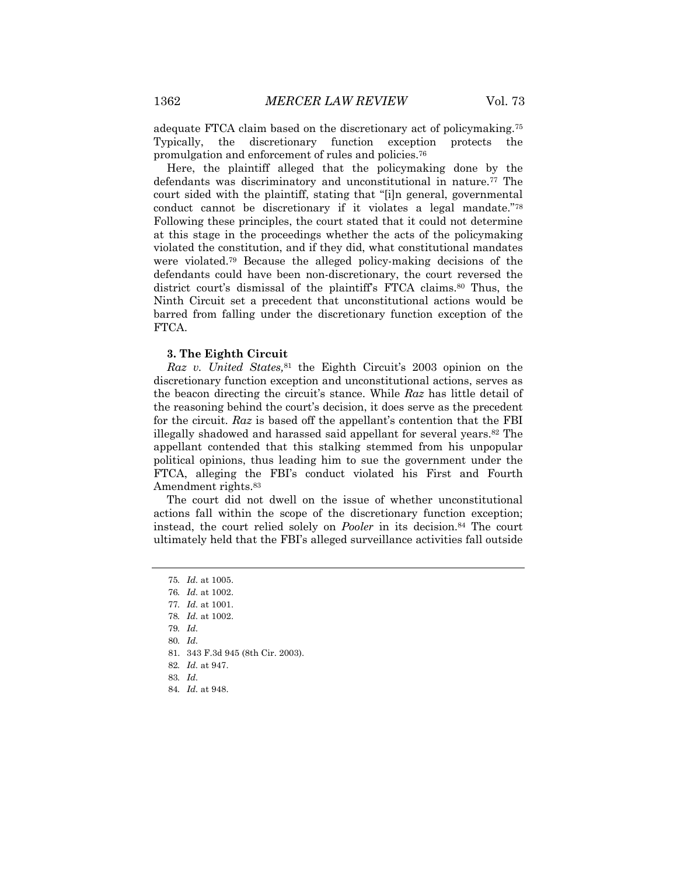adequate FTCA claim based on the discretionary act of policymaking.75 Typically, the discretionary function exception protects the promulgation and enforcement of rules and policies.76

Here, the plaintiff alleged that the policymaking done by the defendants was discriminatory and unconstitutional in nature.<sup>77</sup> The court sided with the plaintiff, stating that "[i]n general, governmental conduct cannot be discretionary if it violates a legal mandate."78 Following these principles, the court stated that it could not determine at this stage in the proceedings whether the acts of the policymaking violated the constitution, and if they did, what constitutional mandates were violated.79 Because the alleged policy-making decisions of the defendants could have been non-discretionary, the court reversed the district court's dismissal of the plaintiff's FTCA claims.80 Thus, the Ninth Circuit set a precedent that unconstitutional actions would be barred from falling under the discretionary function exception of the FTCA.

#### **3. The Eighth Circuit**

*Raz v. United States,*<sup>81</sup> the Eighth Circuit's 2003 opinion on the discretionary function exception and unconstitutional actions, serves as the beacon directing the circuit's stance. While *Raz* has little detail of the reasoning behind the court's decision, it does serve as the precedent for the circuit. *Raz* is based off the appellant's contention that the FBI illegally shadowed and harassed said appellant for several years.82 The appellant contended that this stalking stemmed from his unpopular political opinions, thus leading him to sue the government under the FTCA, alleging the FBI's conduct violated his First and Fourth Amendment rights.83

The court did not dwell on the issue of whether unconstitutional actions fall within the scope of the discretionary function exception; instead, the court relied solely on *Pooler* in its decision.<sup>84</sup> The court ultimately held that the FBI's alleged surveillance activities fall outside

78*. Id.* at 1002.

80*. Id.*

84*. Id.* at 948.

<sup>75</sup>*. Id.* at 1005.

<sup>76</sup>*. Id.* at 1002.

<sup>77</sup>*. Id.* at 1001.

<sup>79</sup>*. Id.*

<sup>81.</sup> 343 F.3d 945 (8th Cir. 2003).

<sup>82</sup>*. Id.* at 947.

<sup>83</sup>*. Id.*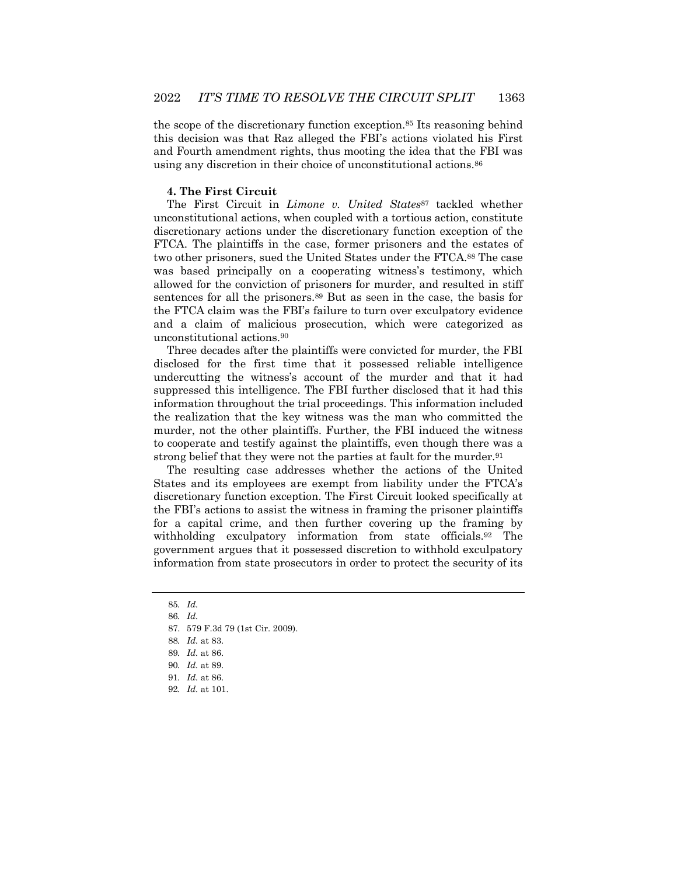the scope of the discretionary function exception.85 Its reasoning behind this decision was that Raz alleged the FBI's actions violated his First and Fourth amendment rights, thus mooting the idea that the FBI was using any discretion in their choice of unconstitutional actions.86

#### **4. The First Circuit**

The First Circuit in *Limone v. United States*<sup>87</sup> tackled whether unconstitutional actions, when coupled with a tortious action, constitute discretionary actions under the discretionary function exception of the FTCA. The plaintiffs in the case, former prisoners and the estates of two other prisoners, sued the United States under the FTCA.88 The case was based principally on a cooperating witness's testimony, which allowed for the conviction of prisoners for murder, and resulted in stiff sentences for all the prisoners.89 But as seen in the case, the basis for the FTCA claim was the FBI's failure to turn over exculpatory evidence and a claim of malicious prosecution, which were categorized as unconstitutional actions.90

Three decades after the plaintiffs were convicted for murder, the FBI disclosed for the first time that it possessed reliable intelligence undercutting the witness's account of the murder and that it had suppressed this intelligence. The FBI further disclosed that it had this information throughout the trial proceedings. This information included the realization that the key witness was the man who committed the murder, not the other plaintiffs. Further, the FBI induced the witness to cooperate and testify against the plaintiffs, even though there was a strong belief that they were not the parties at fault for the murder.<sup>91</sup>

The resulting case addresses whether the actions of the United States and its employees are exempt from liability under the FTCA's discretionary function exception. The First Circuit looked specifically at the FBI's actions to assist the witness in framing the prisoner plaintiffs for a capital crime, and then further covering up the framing by withholding exculpatory information from state officials.<sup>92</sup> The government argues that it possessed discretion to withhold exculpatory information from state prosecutors in order to protect the security of its

<sup>85</sup>*. Id.*

<sup>86</sup>*. Id.*

<sup>87.</sup> 579 F.3d 79 (1st Cir. 2009).

<sup>88</sup>*. Id.* at 83.

<sup>89</sup>*. Id.* at 86.

<sup>90</sup>*. Id.* at 89.

<sup>91</sup>*. Id.* at 86.

<sup>92</sup>*. Id.* at 101.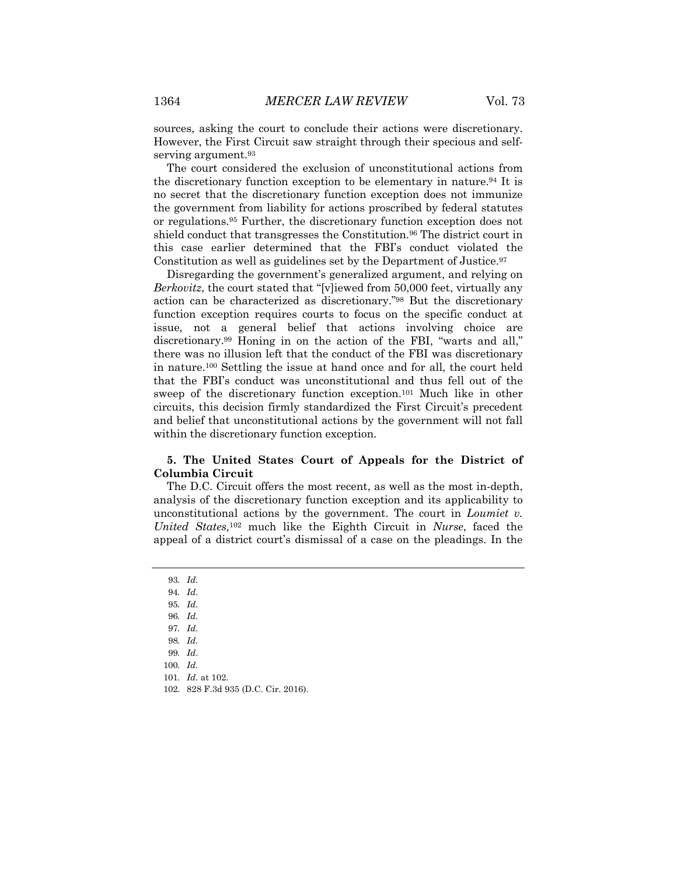sources, asking the court to conclude their actions were discretionary. However, the First Circuit saw straight through their specious and selfserving argument.<sup>93</sup>

The court considered the exclusion of unconstitutional actions from the discretionary function exception to be elementary in nature.94 It is no secret that the discretionary function exception does not immunize the government from liability for actions proscribed by federal statutes or regulations.95 Further, the discretionary function exception does not shield conduct that transgresses the Constitution.<sup>96</sup> The district court in this case earlier determined that the FBI's conduct violated the Constitution as well as guidelines set by the Department of Justice.<sup>97</sup>

Disregarding the government's generalized argument, and relying on *Berkovitz*, the court stated that "[v]iewed from 50,000 feet, virtually any action can be characterized as discretionary."98 But the discretionary function exception requires courts to focus on the specific conduct at issue, not a general belief that actions involving choice are discretionary.99 Honing in on the action of the FBI, "warts and all," there was no illusion left that the conduct of the FBI was discretionary in nature.100 Settling the issue at hand once and for all, the court held that the FBI's conduct was unconstitutional and thus fell out of the sweep of the discretionary function exception.101 Much like in other circuits, this decision firmly standardized the First Circuit's precedent and belief that unconstitutional actions by the government will not fall within the discretionary function exception.

## **5. The United States Court of Appeals for the District of Columbia Circuit**

The D.C. Circuit offers the most recent, as well as the most in-depth, analysis of the discretionary function exception and its applicability to unconstitutional actions by the government. The court in *Loumiet v. United States,*<sup>102</sup> much like the Eighth Circuit in *Nurse*, faced the appeal of a district court's dismissal of a case on the pleadings. In the

- 95*. Id.*
- 96*. Id.*
- 97*. Id.*
- 98*. Id.*

- 100*. Id.*
- 101*. Id.* at 102.
- 102. 828 F.3d 935 (D.C. Cir. 2016).

<sup>93</sup>*. Id.*

<sup>94</sup>*. Id.*

<sup>99</sup>*. Id*.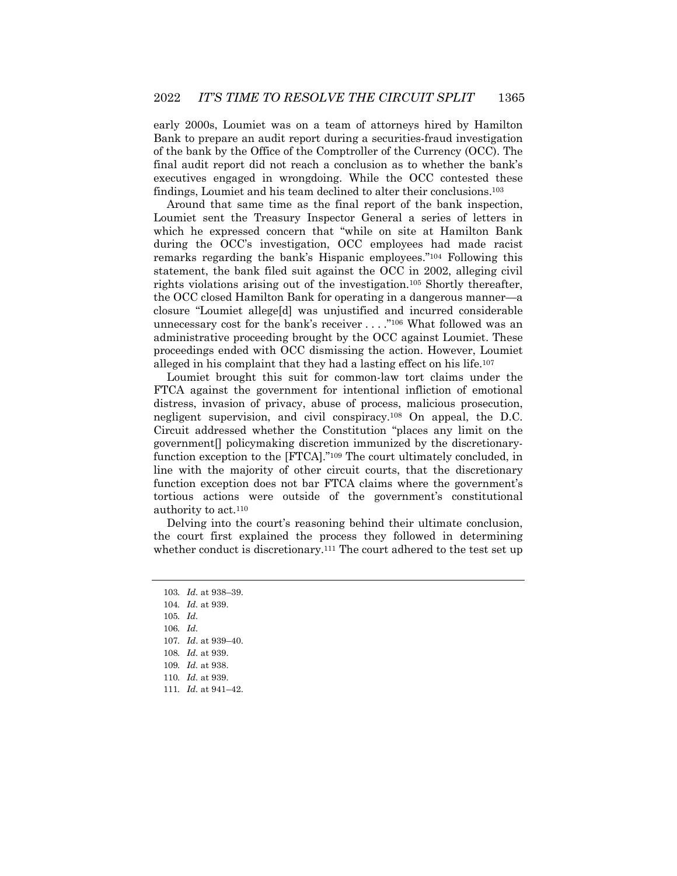early 2000s, Loumiet was on a team of attorneys hired by Hamilton Bank to prepare an audit report during a securities-fraud investigation of the bank by the Office of the Comptroller of the Currency (OCC). The final audit report did not reach a conclusion as to whether the bank's executives engaged in wrongdoing. While the OCC contested these findings, Loumiet and his team declined to alter their conclusions.103

Around that same time as the final report of the bank inspection, Loumiet sent the Treasury Inspector General a series of letters in which he expressed concern that "while on site at Hamilton Bank during the OCC's investigation, OCC employees had made racist remarks regarding the bank's Hispanic employees."104 Following this statement, the bank filed suit against the OCC in 2002, alleging civil rights violations arising out of the investigation.105 Shortly thereafter, the OCC closed Hamilton Bank for operating in a dangerous manner—a closure "Loumiet allege[d] was unjustified and incurred considerable unnecessary cost for the bank's receiver . . . ."106 What followed was an administrative proceeding brought by the OCC against Loumiet. These proceedings ended with OCC dismissing the action. However, Loumiet alleged in his complaint that they had a lasting effect on his life.107

Loumiet brought this suit for common-law tort claims under the FTCA against the government for intentional infliction of emotional distress, invasion of privacy, abuse of process, malicious prosecution, negligent supervision, and civil conspiracy.108 On appeal, the D.C. Circuit addressed whether the Constitution "places any limit on the government[] policymaking discretion immunized by the discretionaryfunction exception to the [FTCA]."109 The court ultimately concluded, in line with the majority of other circuit courts, that the discretionary function exception does not bar FTCA claims where the government's tortious actions were outside of the government's constitutional authority to act.110

Delving into the court's reasoning behind their ultimate conclusion, the court first explained the process they followed in determining whether conduct is discretionary.<sup>111</sup> The court adhered to the test set up

<sup>103</sup>*. Id.* at 938–39. 104*. Id.* at 939. 105*. Id.* 106*. Id.* 107*. Id*. at 939–40. 108*. Id.* at 939. 109*. Id.* at 938. 110*. Id.* at 939. 111*. Id.* at 941–42.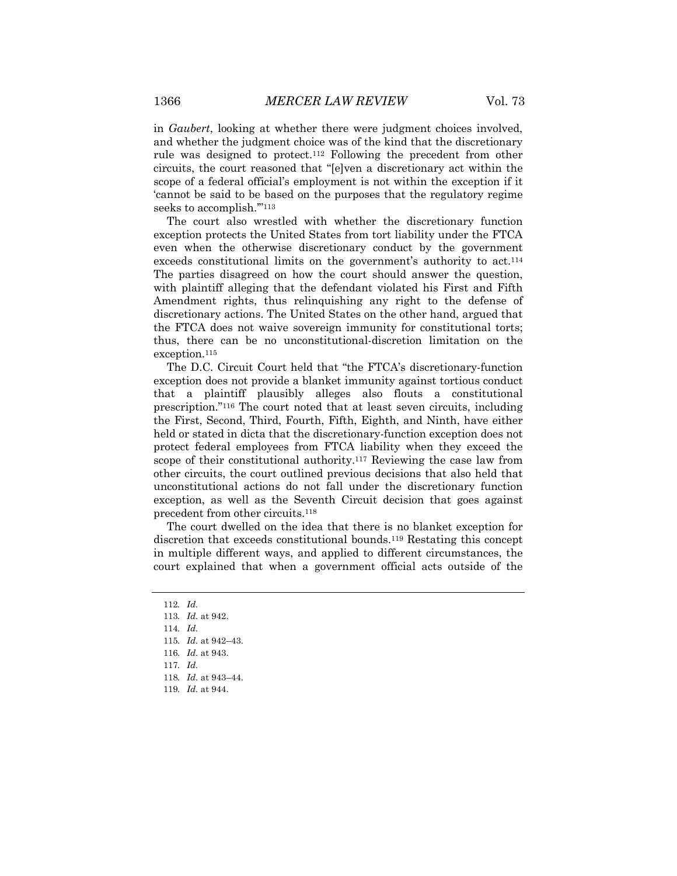in *Gaubert*, looking at whether there were judgment choices involved, and whether the judgment choice was of the kind that the discretionary rule was designed to protect.112 Following the precedent from other circuits, the court reasoned that "[e]ven a discretionary act within the scope of a federal official's employment is not within the exception if it 'cannot be said to be based on the purposes that the regulatory regime seeks to accomplish."<sup>113</sup>

The court also wrestled with whether the discretionary function exception protects the United States from tort liability under the FTCA even when the otherwise discretionary conduct by the government exceeds constitutional limits on the government's authority to act.<sup>114</sup> The parties disagreed on how the court should answer the question, with plaintiff alleging that the defendant violated his First and Fifth Amendment rights, thus relinquishing any right to the defense of discretionary actions. The United States on the other hand, argued that the FTCA does not waive sovereign immunity for constitutional torts; thus, there can be no unconstitutional-discretion limitation on the exception.<sup>115</sup>

The D.C. Circuit Court held that "the FTCA's discretionary-function exception does not provide a blanket immunity against tortious conduct that a plaintiff plausibly alleges also flouts a constitutional prescription."116 The court noted that at least seven circuits, including the First, Second, Third, Fourth, Fifth, Eighth, and Ninth, have either held or stated in dicta that the discretionary-function exception does not protect federal employees from FTCA liability when they exceed the scope of their constitutional authority.<sup>117</sup> Reviewing the case law from other circuits, the court outlined previous decisions that also held that unconstitutional actions do not fall under the discretionary function exception, as well as the Seventh Circuit decision that goes against precedent from other circuits.118

The court dwelled on the idea that there is no blanket exception for discretion that exceeds constitutional bounds.119 Restating this concept in multiple different ways, and applied to different circumstances, the court explained that when a government official acts outside of the

114*. Id.*

<sup>112</sup>*. Id.*

<sup>113</sup>*. Id.* at 942.

<sup>115</sup>*. Id.* at 942–43.

<sup>116</sup>*. Id.* at 943.

<sup>117</sup>*. Id.*

<sup>118</sup>*. Id.* at 943–44.

<sup>119</sup>*. Id.* at 944.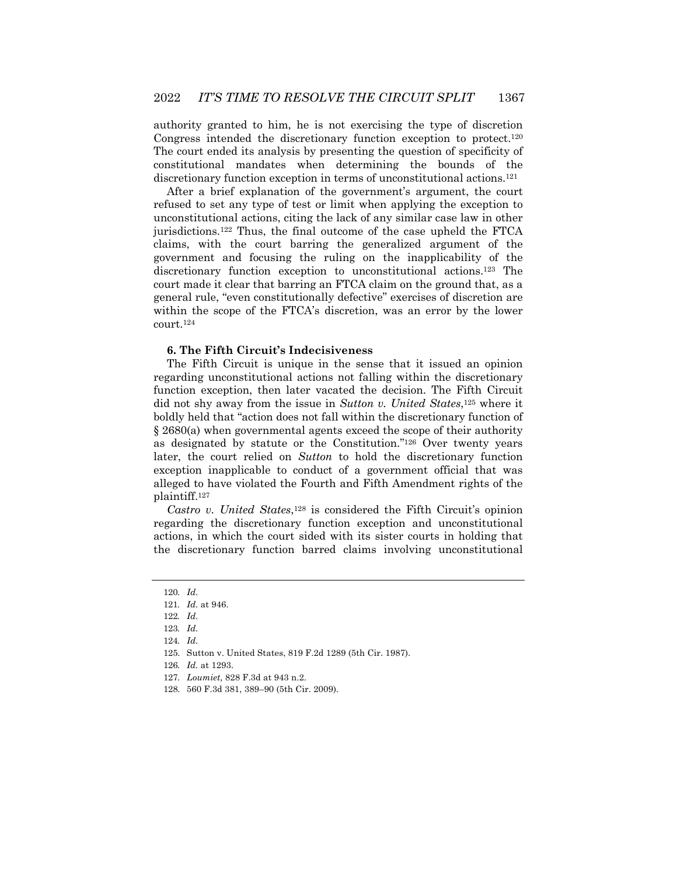authority granted to him, he is not exercising the type of discretion Congress intended the discretionary function exception to protect.120 The court ended its analysis by presenting the question of specificity of constitutional mandates when determining the bounds of the discretionary function exception in terms of unconstitutional actions.121

After a brief explanation of the government's argument, the court refused to set any type of test or limit when applying the exception to unconstitutional actions, citing the lack of any similar case law in other jurisdictions.122 Thus, the final outcome of the case upheld the FTCA claims, with the court barring the generalized argument of the government and focusing the ruling on the inapplicability of the discretionary function exception to unconstitutional actions.123 The court made it clear that barring an FTCA claim on the ground that, as a general rule, "even constitutionally defective" exercises of discretion are within the scope of the FTCA's discretion, was an error by the lower court.124

## **6. The Fifth Circuit's Indecisiveness**

The Fifth Circuit is unique in the sense that it issued an opinion regarding unconstitutional actions not falling within the discretionary function exception, then later vacated the decision. The Fifth Circuit did not shy away from the issue in *Sutton v. United States*,125 where it boldly held that "action does not fall within the discretionary function of § 2680(a) when governmental agents exceed the scope of their authority as designated by statute or the Constitution."126 Over twenty years later, the court relied on *Sutton* to hold the discretionary function exception inapplicable to conduct of a government official that was alleged to have violated the Fourth and Fifth Amendment rights of the plaintiff.127

*Castro v. United States*,128 is considered the Fifth Circuit's opinion regarding the discretionary function exception and unconstitutional actions, in which the court sided with its sister courts in holding that the discretionary function barred claims involving unconstitutional

<sup>120</sup>*. Id.*

<sup>121</sup>*. Id.* at 946.

<sup>122</sup>*. Id.*

<sup>123</sup>*. Id.*

<sup>124</sup>*. Id.*

<sup>125.</sup> Sutton v. United States, 819 F.2d 1289 (5th Cir. 1987).

<sup>126</sup>*. Id.* at 1293.

<sup>127</sup>*. Loumiet,* 828 F.3d at 943 n.2.

<sup>128.</sup> 560 F.3d 381, 389–90 (5th Cir. 2009).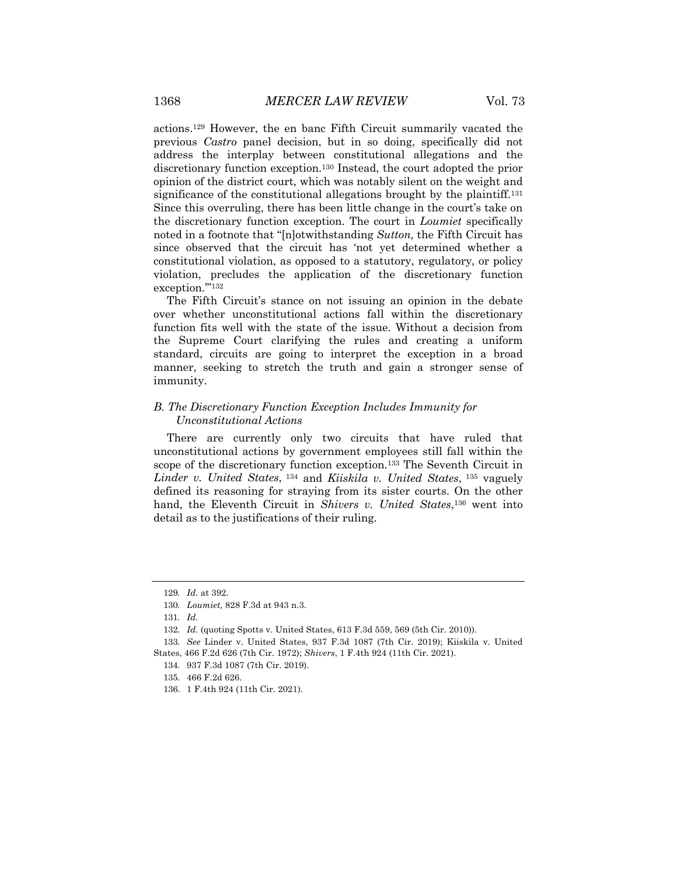actions.129 However, the en banc Fifth Circuit summarily vacated the previous *Castro* panel decision, but in so doing, specifically did not address the interplay between constitutional allegations and the discretionary function exception.130 Instead, the court adopted the prior opinion of the district court, which was notably silent on the weight and significance of the constitutional allegations brought by the plaintiff.<sup>131</sup> Since this overruling, there has been little change in the court's take on the discretionary function exception. The court in *Loumiet* specifically noted in a footnote that "[n]otwithstanding *Sutton,* the Fifth Circuit has since observed that the circuit has 'not yet determined whether a constitutional violation, as opposed to a statutory, regulatory, or policy violation, precludes the application of the discretionary function exception."<sup>132</sup>

The Fifth Circuit's stance on not issuing an opinion in the debate over whether unconstitutional actions fall within the discretionary function fits well with the state of the issue. Without a decision from the Supreme Court clarifying the rules and creating a uniform standard, circuits are going to interpret the exception in a broad manner, seeking to stretch the truth and gain a stronger sense of immunity.

## *B. The Discretionary Function Exception Includes Immunity for Unconstitutional Actions*

There are currently only two circuits that have ruled that unconstitutional actions by government employees still fall within the scope of the discretionary function exception.133 The Seventh Circuit in *Linder v. United States*, <sup>134</sup> and *Kiiskila v. United States*, <sup>135</sup> vaguely defined its reasoning for straying from its sister courts. On the other hand, the Eleventh Circuit in *Shivers v. United States*,<sup>136</sup> went into detail as to the justifications of their ruling.

133*. See* Linder v. United States, 937 F.3d 1087 (7th Cir. 2019); Kiiskila v. United States, 466 F.2d 626 (7th Cir. 1972); *Shivers*, 1 F.4th 924 (11th Cir. 2021).

<sup>129</sup>*. Id.* at 392.

<sup>130</sup>*. Loumiet,* 828 F.3d at 943 n.3.

<sup>131</sup>*. Id.*

<sup>132</sup>*. Id.* (quoting Spotts v. United States, 613 F.3d 559, 569 (5th Cir. 2010)).

<sup>134.</sup> 937 F.3d 1087 (7th Cir. 2019).

<sup>135.</sup> 466 F.2d 626.

<sup>136.</sup> 1 F.4th 924 (11th Cir. 2021).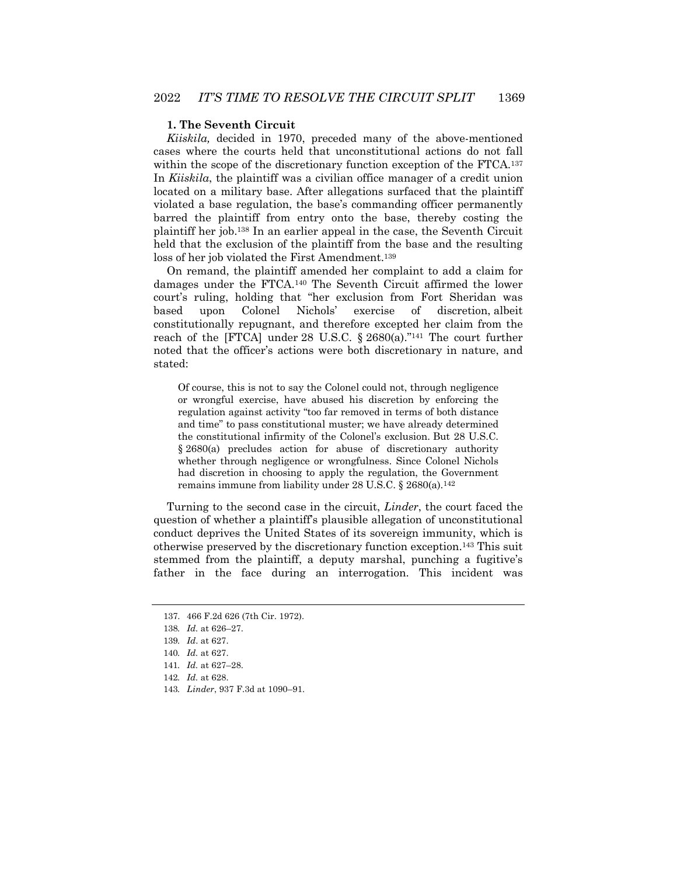## **1. The Seventh Circuit**

*Kiiskila,* decided in 1970, preceded many of the above-mentioned cases where the courts held that unconstitutional actions do not fall within the scope of the discretionary function exception of the FTCA.<sup>137</sup> In *Kiiskila*, the plaintiff was a civilian office manager of a credit union located on a military base. After allegations surfaced that the plaintiff violated a base regulation, the base's commanding officer permanently barred the plaintiff from entry onto the base, thereby costing the plaintiff her job.138 In an earlier appeal in the case, the Seventh Circuit held that the exclusion of the plaintiff from the base and the resulting loss of her job violated the First Amendment.<sup>139</sup>

On remand, the plaintiff amended her complaint to add a claim for damages under the FTCA.140 The Seventh Circuit affirmed the lower court's ruling, holding that "her exclusion from Fort Sheridan was based upon Colonel Nichols' exercise of discretion, albeit constitutionally repugnant, and therefore excepted her claim from the reach of the [FTCA] under 28 U.S.C. § 2680(a)."141 The court further noted that the officer's actions were both discretionary in nature, and stated:

Of course, this is not to say the Colonel could not, through negligence or wrongful exercise, have abused his discretion by enforcing the regulation against activity "too far removed in terms of both distance and time" to pass constitutional muster; we have already determined the constitutional infirmity of the Colonel's exclusion. But 28 U.S.C. § 2680(a) precludes action for abuse of discretionary authority whether through negligence or wrongfulness. Since Colonel Nichols had discretion in choosing to apply the regulation, the Government remains immune from liability under 28 U.S.C. § 2680(a).142

Turning to the second case in the circuit, *Linder*, the court faced the question of whether a plaintiff's plausible allegation of unconstitutional conduct deprives the United States of its sovereign immunity, which is otherwise preserved by the discretionary function exception.143 This suit stemmed from the plaintiff, a deputy marshal, punching a fugitive's father in the face during an interrogation. This incident was

143*. Linder*, 937 F.3d at 1090–91.

<sup>137.</sup> 466 F.2d 626 (7th Cir. 1972).

<sup>138</sup>*. Id.* at 626–27.

<sup>139</sup>*. Id*. at 627.

<sup>140</sup>*. Id.* at 627.

<sup>141</sup>*. Id.* at 627–28.

<sup>142</sup>*. Id.* at 628.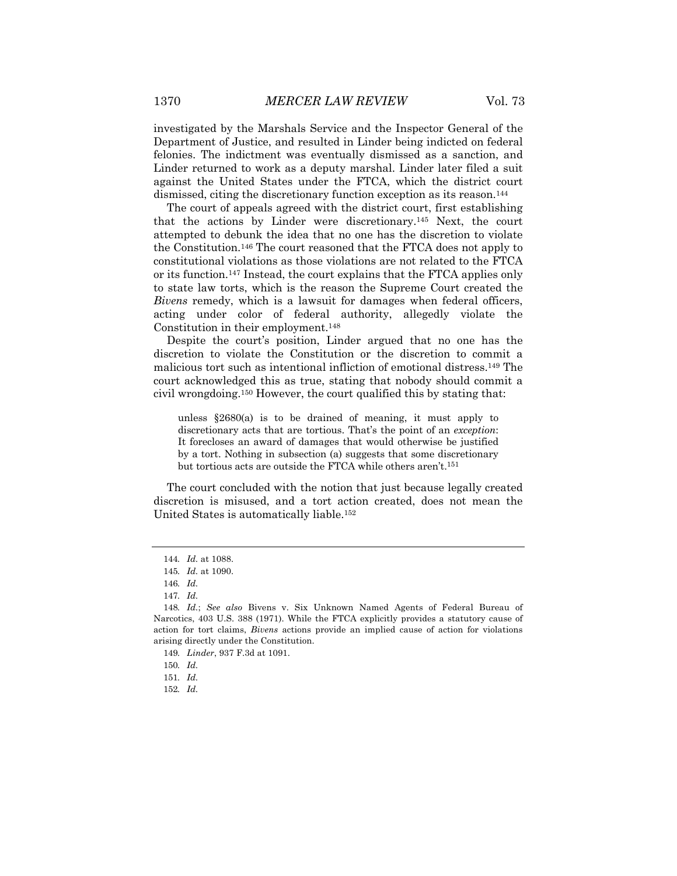investigated by the Marshals Service and the Inspector General of the Department of Justice, and resulted in Linder being indicted on federal felonies. The indictment was eventually dismissed as a sanction, and Linder returned to work as a deputy marshal. Linder later filed a suit against the United States under the FTCA, which the district court dismissed, citing the discretionary function exception as its reason.144

The court of appeals agreed with the district court, first establishing that the actions by Linder were discretionary.145 Next, the court attempted to debunk the idea that no one has the discretion to violate the Constitution.146 The court reasoned that the FTCA does not apply to constitutional violations as those violations are not related to the FTCA or its function.147 Instead, the court explains that the FTCA applies only to state law torts, which is the reason the Supreme Court created the *Bivens* remedy, which is a lawsuit for damages when federal officers, acting under color of federal authority, allegedly violate the Constitution in their employment.148

Despite the court's position, Linder argued that no one has the discretion to violate the Constitution or the discretion to commit a malicious tort such as intentional infliction of emotional distress.149 The court acknowledged this as true, stating that nobody should commit a civil wrongdoing.150 However, the court qualified this by stating that:

unless §2680(a) is to be drained of meaning, it must apply to discretionary acts that are tortious. That's the point of an *exception*: It forecloses an award of damages that would otherwise be justified by a tort. Nothing in subsection (a) suggests that some discretionary but tortious acts are outside the FTCA while others aren't.151

The court concluded with the notion that just because legally created discretion is misused, and a tort action created, does not mean the United States is automatically liable.152

<sup>144</sup>*. Id.* at 1088.

<sup>145</sup>*. Id.* at 1090.

<sup>146</sup>*. Id.*

<sup>147</sup>*. Id.*

<sup>148</sup>*. Id.*; *See also* Bivens v. Six Unknown Named Agents of Federal Bureau of Narcotics, 403 U.S. 388 (1971). While the FTCA explicitly provides a statutory cause of action for tort claims, *Bivens* actions provide an implied cause of action for violations arising directly under the Constitution.

<sup>149</sup>*. Linder*, 937 F.3d at 1091.

<sup>150</sup>*. Id.*

<sup>151</sup>*. Id.*

<sup>152</sup>*. Id.*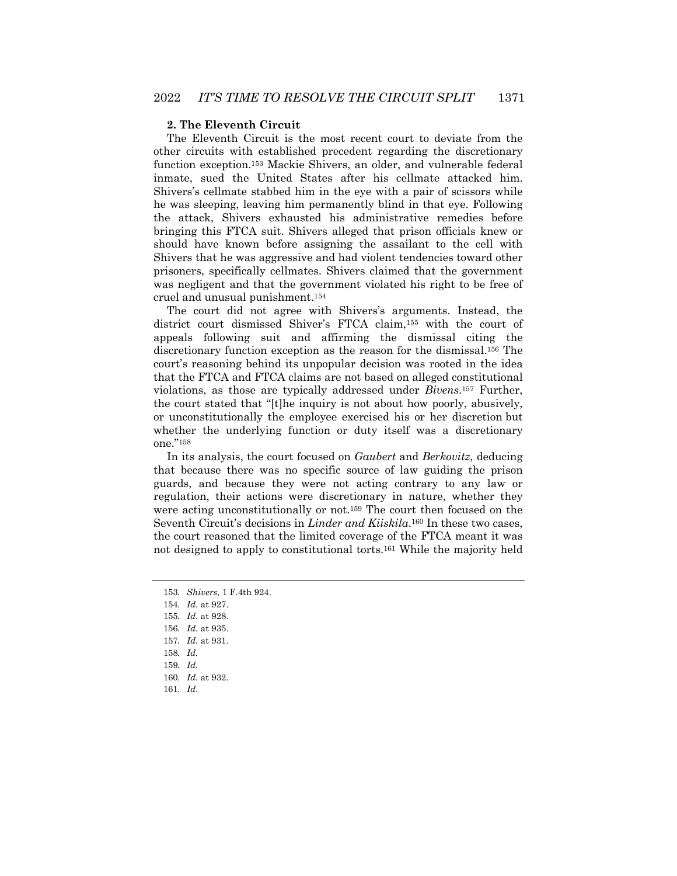#### **2. The Eleventh Circuit**

The Eleventh Circuit is the most recent court to deviate from the other circuits with established precedent regarding the discretionary function exception.153 Mackie Shivers, an older, and vulnerable federal inmate, sued the United States after his cellmate attacked him. Shivers's cellmate stabbed him in the eye with a pair of scissors while he was sleeping, leaving him permanently blind in that eye. Following the attack, Shivers exhausted his administrative remedies before bringing this FTCA suit. Shivers alleged that prison officials knew or should have known before assigning the assailant to the cell with Shivers that he was aggressive and had violent tendencies toward other prisoners, specifically cellmates. Shivers claimed that the government was negligent and that the government violated his right to be free of cruel and unusual punishment.154

The court did not agree with Shivers's arguments. Instead, the district court dismissed Shiver's FTCA claim,155 with the court of appeals following suit and affirming the dismissal citing the discretionary function exception as the reason for the dismissal.156 The court's reasoning behind its unpopular decision was rooted in the idea that the FTCA and FTCA claims are not based on alleged constitutional violations, as those are typically addressed under *Bivens*.157 Further, the court stated that "[t]he inquiry is not about how poorly, abusively, or unconstitutionally the employee exercised his or her discretion but whether the underlying function or duty itself was a discretionary one."158

In its analysis, the court focused on *Gaubert* and *Berkovitz*, deducing that because there was no specific source of law guiding the prison guards, and because they were not acting contrary to any law or regulation, their actions were discretionary in nature, whether they were acting unconstitutionally or not.159 The court then focused on the Seventh Circuit's decisions in *Linder and Kiiskila*.<sup>160</sup> In these two cases, the court reasoned that the limited coverage of the FTCA meant it was not designed to apply to constitutional torts.161 While the majority held

157*. Id.* at 931.

<sup>153</sup>*. Shivers,* 1 F.4th 924.

<sup>154</sup>*. Id.* at 927.

<sup>155</sup>*. Id.* at 928.

<sup>156</sup>*. Id.* at 935.

<sup>158</sup>*. Id.*

<sup>159</sup>*. Id.*

<sup>160</sup>*. Id.* at 932.

<sup>161</sup>*. Id*.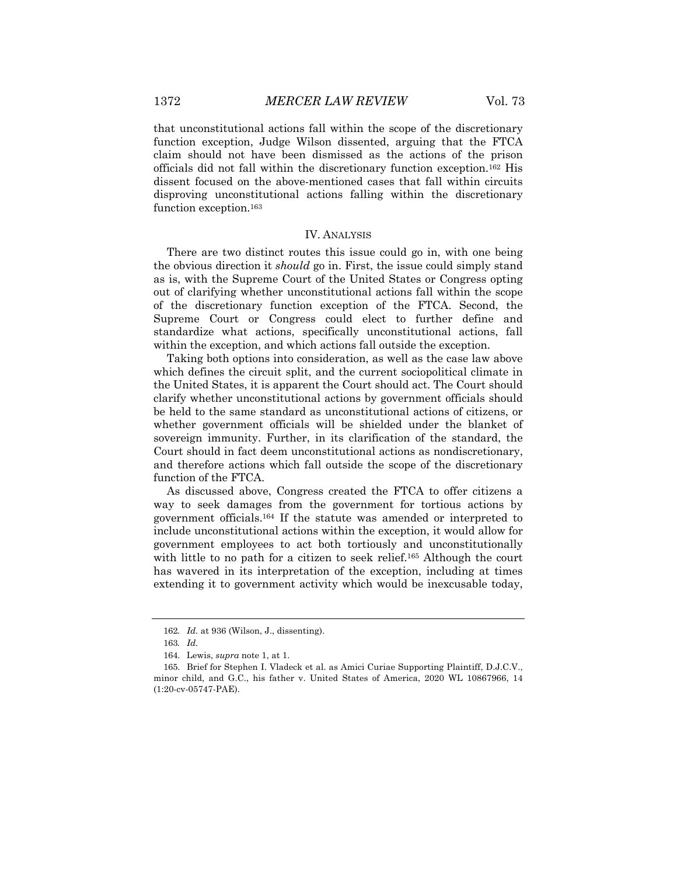that unconstitutional actions fall within the scope of the discretionary function exception, Judge Wilson dissented, arguing that the FTCA claim should not have been dismissed as the actions of the prison officials did not fall within the discretionary function exception.162 His dissent focused on the above-mentioned cases that fall within circuits disproving unconstitutional actions falling within the discretionary function exception.163

#### IV. ANALYSIS

There are two distinct routes this issue could go in, with one being the obvious direction it *should* go in. First, the issue could simply stand as is, with the Supreme Court of the United States or Congress opting out of clarifying whether unconstitutional actions fall within the scope of the discretionary function exception of the FTCA. Second, the Supreme Court or Congress could elect to further define and standardize what actions, specifically unconstitutional actions, fall within the exception, and which actions fall outside the exception.

Taking both options into consideration, as well as the case law above which defines the circuit split, and the current sociopolitical climate in the United States, it is apparent the Court should act. The Court should clarify whether unconstitutional actions by government officials should be held to the same standard as unconstitutional actions of citizens, or whether government officials will be shielded under the blanket of sovereign immunity. Further, in its clarification of the standard, the Court should in fact deem unconstitutional actions as nondiscretionary, and therefore actions which fall outside the scope of the discretionary function of the FTCA.

As discussed above, Congress created the FTCA to offer citizens a way to seek damages from the government for tortious actions by government officials.164 If the statute was amended or interpreted to include unconstitutional actions within the exception, it would allow for government employees to act both tortiously and unconstitutionally with little to no path for a citizen to seek relief.<sup>165</sup> Although the court has wavered in its interpretation of the exception, including at times extending it to government activity which would be inexcusable today,

<sup>162</sup>*. Id.* at 936 (Wilson, J., dissenting).

<sup>163</sup>*. Id.*

<sup>164.</sup> Lewis, *supra* note 1, at 1.

<sup>165.</sup> Brief for Stephen I. Vladeck et al. as Amici Curiae Supporting Plaintiff, D.J.C.V., minor child, and G.C., his father v. United States of America, 2020 WL 10867966, 14 (1:20-cv-05747-PAE).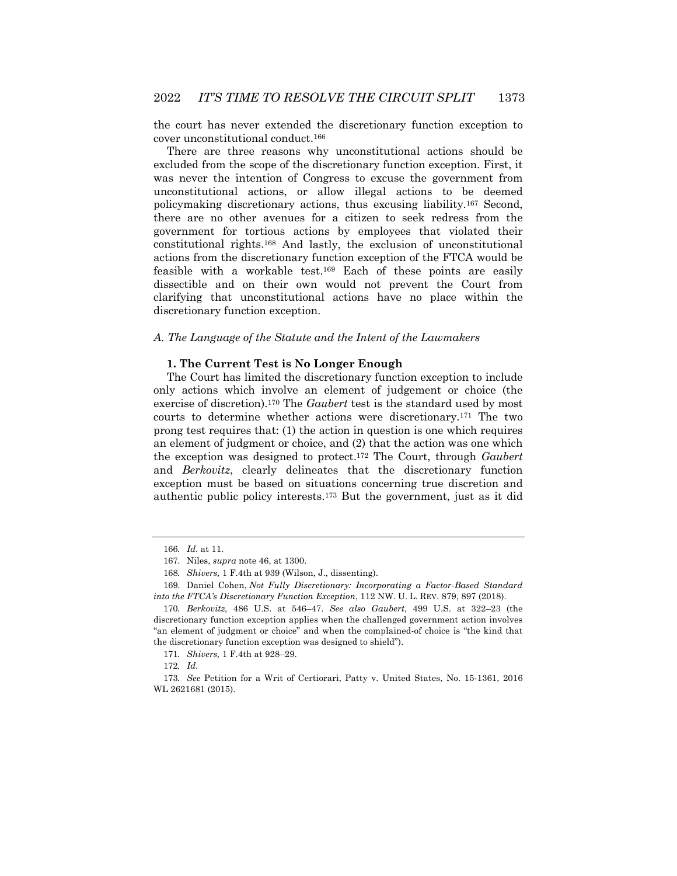the court has never extended the discretionary function exception to cover unconstitutional conduct.166

There are three reasons why unconstitutional actions should be excluded from the scope of the discretionary function exception. First, it was never the intention of Congress to excuse the government from unconstitutional actions, or allow illegal actions to be deemed policymaking discretionary actions, thus excusing liability.167 Second, there are no other avenues for a citizen to seek redress from the government for tortious actions by employees that violated their constitutional rights.168 And lastly, the exclusion of unconstitutional actions from the discretionary function exception of the FTCA would be feasible with a workable test.169 Each of these points are easily dissectible and on their own would not prevent the Court from clarifying that unconstitutional actions have no place within the discretionary function exception.

#### *A. The Language of the Statute and the Intent of the Lawmakers*

#### **1. The Current Test is No Longer Enough**

The Court has limited the discretionary function exception to include only actions which involve an element of judgement or choice (the exercise of discretion).170 The *Gaubert* test is the standard used by most courts to determine whether actions were discretionary.171 The two prong test requires that: (1) the action in question is one which requires an element of judgment or choice, and (2) that the action was one which the exception was designed to protect.172 The Court, through *Gaubert*  and *Berkovitz*, clearly delineates that the discretionary function exception must be based on situations concerning true discretion and authentic public policy interests.173 But the government, just as it did

<sup>166</sup>*. Id.* at 11.

<sup>167.</sup> Niles, *supra* note 46, at 1300.

<sup>168</sup>*. Shivers,* 1 F.4th at 939 (Wilson, J., dissenting).

<sup>169.</sup> Daniel Cohen, *Not Fully Discretionary: Incorporating a Factor-Based Standard into the FTCA's Discretionary Function Exception*, 112 NW. U. L. REV. 879, 897 (2018).

<sup>170</sup>*. Berkovitz,* 486 U.S. at 546–47. *See also Gaubert*, 499 U.S. at 322–23 (the discretionary function exception applies when the challenged government action involves "an element of judgment or choice" and when the complained-of choice is "the kind that the discretionary function exception was designed to shield").

<sup>171</sup>*. Shivers,* 1 F.4th at 928–29.

<sup>172</sup>*. Id.*

<sup>173</sup>*. See* Petition for a Writ of Certiorari, Patty v. United States, No. 15-1361, 2016 WL 2621681 (2015).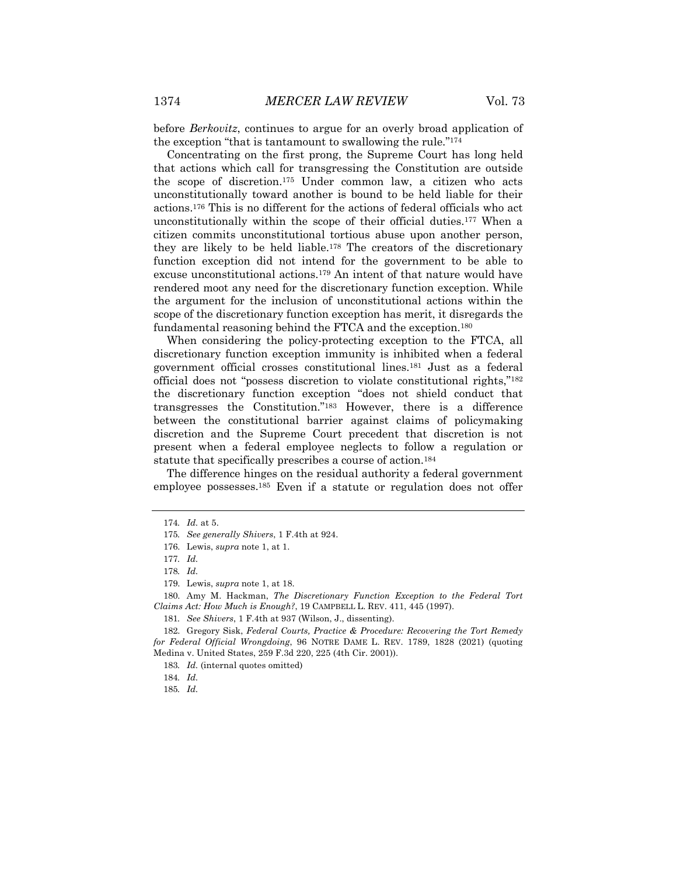before *Berkovitz*, continues to argue for an overly broad application of the exception "that is tantamount to swallowing the rule."174

Concentrating on the first prong, the Supreme Court has long held that actions which call for transgressing the Constitution are outside the scope of discretion.175 Under common law, a citizen who acts unconstitutionally toward another is bound to be held liable for their actions.176 This is no different for the actions of federal officials who act unconstitutionally within the scope of their official duties.177 When a citizen commits unconstitutional tortious abuse upon another person, they are likely to be held liable.178 The creators of the discretionary function exception did not intend for the government to be able to excuse unconstitutional actions.179 An intent of that nature would have rendered moot any need for the discretionary function exception. While the argument for the inclusion of unconstitutional actions within the scope of the discretionary function exception has merit, it disregards the fundamental reasoning behind the FTCA and the exception.180

When considering the policy-protecting exception to the FTCA, all discretionary function exception immunity is inhibited when a federal government official crosses constitutional lines.181 Just as a federal official does not "possess discretion to violate constitutional rights,"182 the discretionary function exception "does not shield conduct that transgresses the Constitution."183 However, there is a difference between the constitutional barrier against claims of policymaking discretion and the Supreme Court precedent that discretion is not present when a federal employee neglects to follow a regulation or statute that specifically prescribes a course of action.<sup>184</sup>

The difference hinges on the residual authority a federal government employee possesses.<sup>185</sup> Even if a statute or regulation does not offer

180. Amy M. Hackman, *The Discretionary Function Exception to the Federal Tort Claims Act: How Much is Enough?*, 19 CAMPBELL L. REV. 411, 445 (1997).

182. Gregory Sisk, *Federal Courts, Practice & Procedure: Recovering the Tort Remedy for Federal Official Wrongdoing*, 96 NOTRE DAME L. REV. 1789, 1828 (2021) (quoting Medina v. United States, 259 F.3d 220, 225 (4th Cir. 2001)).

<sup>174</sup>*. Id.* at 5.

<sup>175</sup>*. See generally Shivers*, 1 F.4th at 924.

<sup>176.</sup> Lewis, *supra* note 1, at 1.

<sup>177</sup>*. Id.*

<sup>178</sup>*. Id.*

<sup>179.</sup> Lewis, *supra* note 1, at 18.

<sup>181</sup>*. See Shivers*, 1 F.4th at 937 (Wilson, J., dissenting).

<sup>183</sup>*. Id.* (internal quotes omitted)

<sup>184</sup>*. Id.*

<sup>185</sup>*. Id.*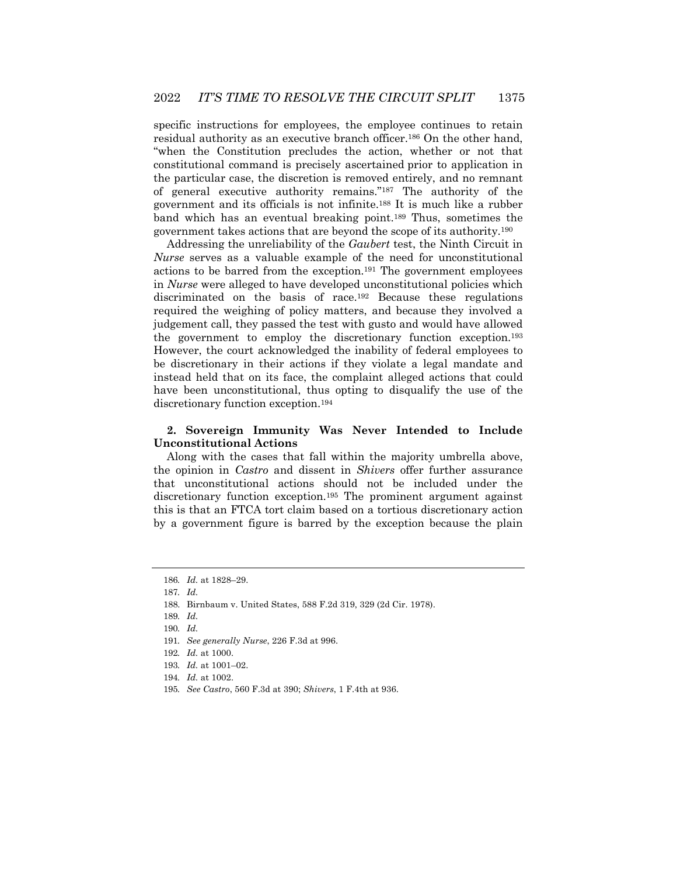specific instructions for employees, the employee continues to retain residual authority as an executive branch officer.186 On the other hand, "when the Constitution precludes the action, whether or not that constitutional command is precisely ascertained prior to application in the particular case, the discretion is removed entirely, and no remnant of general executive authority remains."187 The authority of the government and its officials is not infinite.188 It is much like a rubber band which has an eventual breaking point.189 Thus, sometimes the government takes actions that are beyond the scope of its authority.190

Addressing the unreliability of the *Gaubert* test, the Ninth Circuit in *Nurse* serves as a valuable example of the need for unconstitutional actions to be barred from the exception.191 The government employees in *Nurse* were alleged to have developed unconstitutional policies which discriminated on the basis of race.192 Because these regulations required the weighing of policy matters, and because they involved a judgement call, they passed the test with gusto and would have allowed the government to employ the discretionary function exception.193 However, the court acknowledged the inability of federal employees to be discretionary in their actions if they violate a legal mandate and instead held that on its face, the complaint alleged actions that could have been unconstitutional, thus opting to disqualify the use of the discretionary function exception.194

## **2. Sovereign Immunity Was Never Intended to Include Unconstitutional Actions**

Along with the cases that fall within the majority umbrella above, the opinion in *Castro* and dissent in *Shivers* offer further assurance that unconstitutional actions should not be included under the discretionary function exception.195 The prominent argument against this is that an FTCA tort claim based on a tortious discretionary action by a government figure is barred by the exception because the plain

<sup>186</sup>*. Id.* at 1828–29.

<sup>187</sup>*. Id.*

<sup>188.</sup> Birnbaum v. United States, 588 F.2d 319, 329 (2d Cir. 1978).

<sup>189</sup>*. Id.*

<sup>190</sup>*. Id.*

<sup>191</sup>*. See generally Nurse*, 226 F.3d at 996.

<sup>192</sup>*. Id.* at 1000.

<sup>193</sup>*. Id.* at 1001–02.

<sup>194</sup>*. Id.* at 1002.

<sup>195</sup>*. See Castro*, 560 F.3d at 390; *Shivers*, 1 F.4th at 936.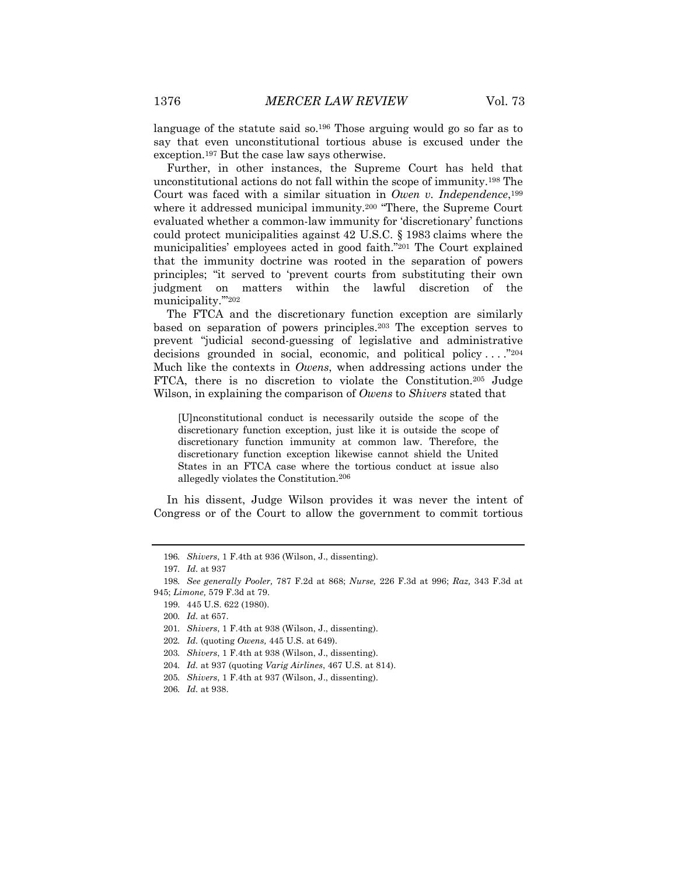language of the statute said so.<sup>196</sup> Those arguing would go so far as to say that even unconstitutional tortious abuse is excused under the exception.197 But the case law says otherwise.

Further, in other instances, the Supreme Court has held that unconstitutional actions do not fall within the scope of immunity.198 The Court was faced with a similar situation in *Owen v. Independence*,199 where it addressed municipal immunity.<sup>200</sup> "There, the Supreme Court evaluated whether a common-law immunity for 'discretionary' functions could protect municipalities against 42 U.S.C. § 1983 claims where the municipalities' employees acted in good faith."201 The Court explained that the immunity doctrine was rooted in the separation of powers principles; "it served to 'prevent courts from substituting their own judgment on matters within the lawful discretion of the municipality.'"202

The FTCA and the discretionary function exception are similarly based on separation of powers principles.203 The exception serves to prevent "judicial second-guessing of legislative and administrative decisions grounded in social, economic, and political policy  $\dots$ ."<sup>204</sup> Much like the contexts in *Owens*, when addressing actions under the FTCA, there is no discretion to violate the Constitution.205 Judge Wilson, in explaining the comparison of *Owens* to *Shivers* stated that

[U]nconstitutional conduct is necessarily outside the scope of the discretionary function exception, just like it is outside the scope of discretionary function immunity at common law. Therefore, the discretionary function exception likewise cannot shield the United States in an FTCA case where the tortious conduct at issue also allegedly violates the Constitution.206

In his dissent, Judge Wilson provides it was never the intent of Congress or of the Court to allow the government to commit tortious

<sup>196</sup>*. Shivers*, 1 F.4th at 936 (Wilson, J., dissenting).

<sup>197</sup>*. Id.* at 937

<sup>198</sup>*. See generally Pooler,* 787 F.2d at 868; *Nurse,* 226 F.3d at 996; *Raz,* 343 F.3d at 945; *Limone,* 579 F.3d at 79.

<sup>199.</sup> 445 U.S. 622 (1980).

<sup>200</sup>*. Id.* at 657.

<sup>201</sup>*. Shivers*, 1 F.4th at 938 (Wilson, J., dissenting).

<sup>202</sup>*. Id.* (quoting *Owens,* 445 U.S. at 649).

<sup>203</sup>*. Shivers*, 1 F.4th at 938 (Wilson, J., dissenting).

<sup>204</sup>*. Id.* at 937 (quoting *Varig Airlines*, 467 U.S. at 814).

<sup>205</sup>*. Shivers*, 1 F.4th at 937 (Wilson, J., dissenting).

<sup>206</sup>*. Id.* at 938.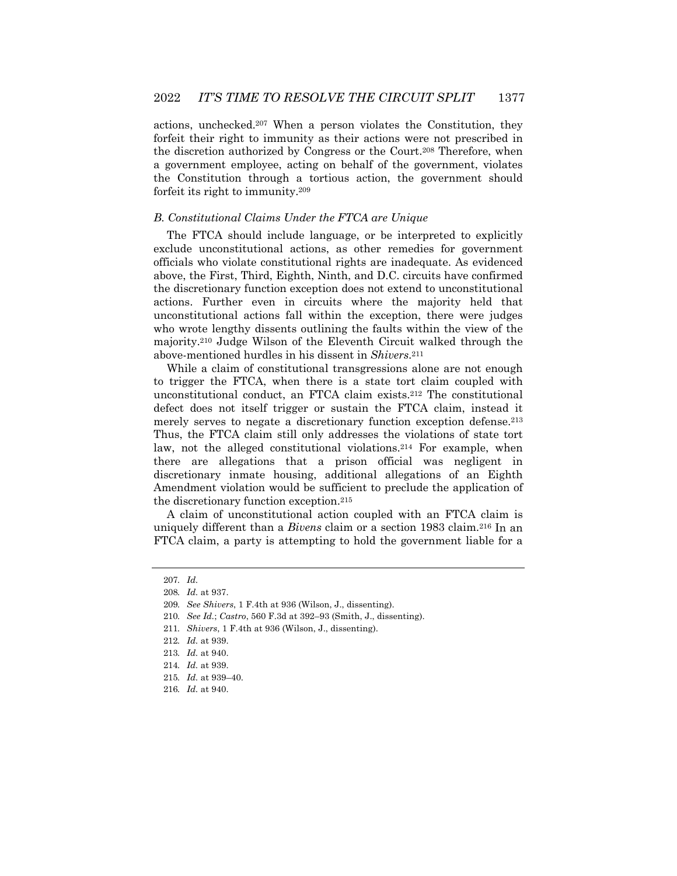actions, unchecked.207 When a person violates the Constitution, they forfeit their right to immunity as their actions were not prescribed in the discretion authorized by Congress or the Court.208 Therefore, when a government employee, acting on behalf of the government, violates the Constitution through a tortious action, the government should forfeit its right to immunity.209

#### *B. Constitutional Claims Under the FTCA are Unique*

The FTCA should include language, or be interpreted to explicitly exclude unconstitutional actions, as other remedies for government officials who violate constitutional rights are inadequate. As evidenced above, the First, Third, Eighth, Ninth, and D.C. circuits have confirmed the discretionary function exception does not extend to unconstitutional actions. Further even in circuits where the majority held that unconstitutional actions fall within the exception, there were judges who wrote lengthy dissents outlining the faults within the view of the majority.210 Judge Wilson of the Eleventh Circuit walked through the above-mentioned hurdles in his dissent in *Shivers*.211

While a claim of constitutional transgressions alone are not enough to trigger the FTCA, when there is a state tort claim coupled with unconstitutional conduct, an FTCA claim exists.212 The constitutional defect does not itself trigger or sustain the FTCA claim, instead it merely serves to negate a discretionary function exception defense.213 Thus, the FTCA claim still only addresses the violations of state tort law, not the alleged constitutional violations.214 For example, when there are allegations that a prison official was negligent in discretionary inmate housing, additional allegations of an Eighth Amendment violation would be sufficient to preclude the application of the discretionary function exception.215

A claim of unconstitutional action coupled with an FTCA claim is uniquely different than a *Bivens* claim or a section 1983 claim.216 In an FTCA claim, a party is attempting to hold the government liable for a

<sup>207</sup>*. Id.*

<sup>208</sup>*. Id.* at 937.

<sup>209</sup>*. See Shivers*, 1 F.4th at 936 (Wilson, J., dissenting).

<sup>210</sup>*. See Id.*; *Castro*, 560 F.3d at 392–93 (Smith, J., dissenting).

<sup>211</sup>*. Shivers*, 1 F.4th at 936 (Wilson, J., dissenting).

<sup>212</sup>*. Id.* at 939.

<sup>213</sup>*. Id.* at 940.

<sup>214</sup>*. Id.* at 939.

<sup>215</sup>*. Id.* at 939–40.

<sup>216</sup>*. Id.* at 940.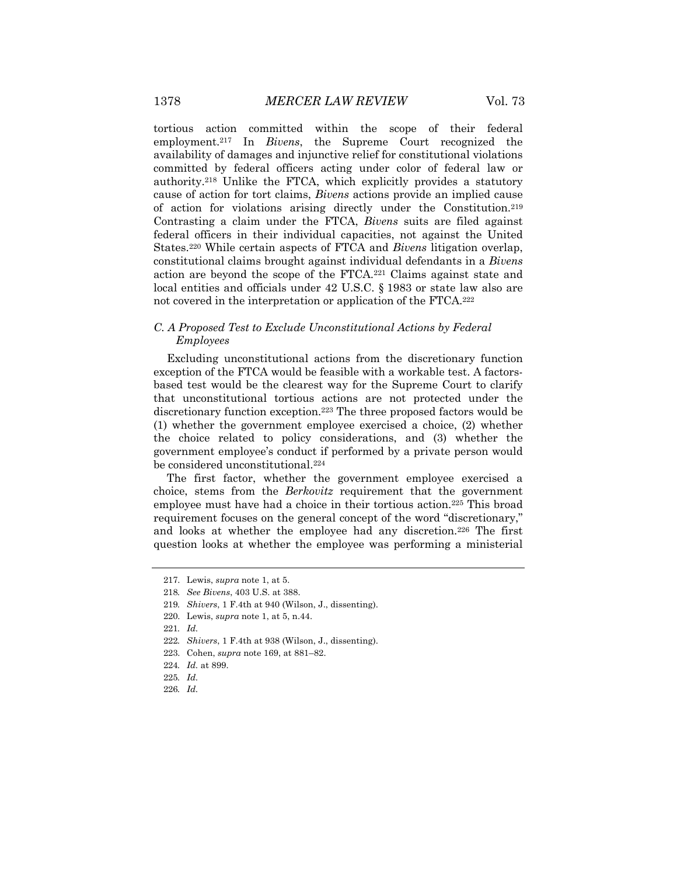tortious action committed within the scope of their federal employment.217 In *Bivens*, the Supreme Court recognized the availability of damages and injunctive relief for constitutional violations committed by federal officers acting under color of federal law or authority.218 Unlike the FTCA, which explicitly provides a statutory cause of action for tort claims, *Bivens* actions provide an implied cause of action for violations arising directly under the Constitution.219 Contrasting a claim under the FTCA, *Bivens* suits are filed against federal officers in their individual capacities, not against the United States.220 While certain aspects of FTCA and *Bivens* litigation overlap, constitutional claims brought against individual defendants in a *Bivens*  action are beyond the scope of the FTCA.221 Claims against state and local entities and officials under 42 U.S.C. § 1983 or state law also are not covered in the interpretation or application of the FTCA.222

## *C. A Proposed Test to Exclude Unconstitutional Actions by Federal Employees*

Excluding unconstitutional actions from the discretionary function exception of the FTCA would be feasible with a workable test. A factorsbased test would be the clearest way for the Supreme Court to clarify that unconstitutional tortious actions are not protected under the discretionary function exception.223 The three proposed factors would be (1) whether the government employee exercised a choice, (2) whether the choice related to policy considerations, and (3) whether the government employee's conduct if performed by a private person would be considered unconstitutional.224

The first factor, whether the government employee exercised a choice, stems from the *Berkovitz* requirement that the government employee must have had a choice in their tortious action.225 This broad requirement focuses on the general concept of the word "discretionary," and looks at whether the employee had any discretion.226 The first question looks at whether the employee was performing a ministerial

<sup>217.</sup> Lewis, *supra* note 1, at 5.

<sup>218</sup>*. See Bivens*, 403 U.S. at 388.

<sup>219</sup>*. Shivers*, 1 F.4th at 940 (Wilson, J., dissenting).

<sup>220.</sup> Lewis, *supra* note 1, at 5, n.44.

<sup>221</sup>*. Id.*

<sup>222</sup>*. Shivers*, 1 F.4th at 938 (Wilson, J., dissenting).

<sup>223.</sup> Cohen, *supra* note 169, at 881–82.

<sup>224</sup>*. Id.* at 899.

<sup>225</sup>*. Id.*

<sup>226</sup>*. Id.*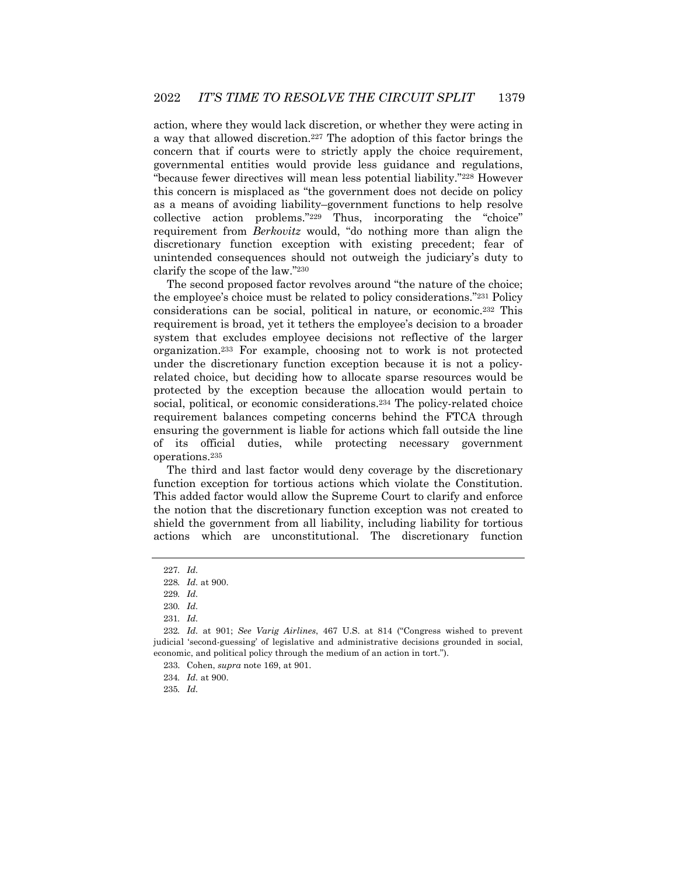action, where they would lack discretion, or whether they were acting in a way that allowed discretion.227 The adoption of this factor brings the concern that if courts were to strictly apply the choice requirement, governmental entities would provide less guidance and regulations, "because fewer directives will mean less potential liability."228 However this concern is misplaced as "the government does not decide on policy as a means of avoiding liability–government functions to help resolve collective action problems."229 Thus, incorporating the "choice" requirement from *Berkovitz* would, "do nothing more than align the discretionary function exception with existing precedent; fear of unintended consequences should not outweigh the judiciary's duty to clarify the scope of the law."230

The second proposed factor revolves around "the nature of the choice; the employee's choice must be related to policy considerations."231 Policy considerations can be social, political in nature, or economic.232 This requirement is broad, yet it tethers the employee's decision to a broader system that excludes employee decisions not reflective of the larger organization.233 For example, choosing not to work is not protected under the discretionary function exception because it is not a policyrelated choice, but deciding how to allocate sparse resources would be protected by the exception because the allocation would pertain to social, political, or economic considerations.<sup>234</sup> The policy-related choice requirement balances competing concerns behind the FTCA through ensuring the government is liable for actions which fall outside the line of its official duties, while protecting necessary government operations.235

The third and last factor would deny coverage by the discretionary function exception for tortious actions which violate the Constitution. This added factor would allow the Supreme Court to clarify and enforce the notion that the discretionary function exception was not created to shield the government from all liability, including liability for tortious actions which are unconstitutional. The discretionary function

<sup>227</sup>*. Id.*

<sup>228</sup>*. Id.* at 900.

<sup>229</sup>*. Id.*

<sup>230</sup>*. Id.*

<sup>231</sup>*. Id.*

<sup>232</sup>*. Id.* at 901; *See Varig Airlines*, 467 U.S. at 814 ("Congress wished to prevent judicial 'second-guessing' of legislative and administrative decisions grounded in social, economic, and political policy through the medium of an action in tort.").

<sup>233.</sup> Cohen, *supra* note 169, at 901.

<sup>234</sup>*. Id.* at 900.

<sup>235</sup>*. Id.*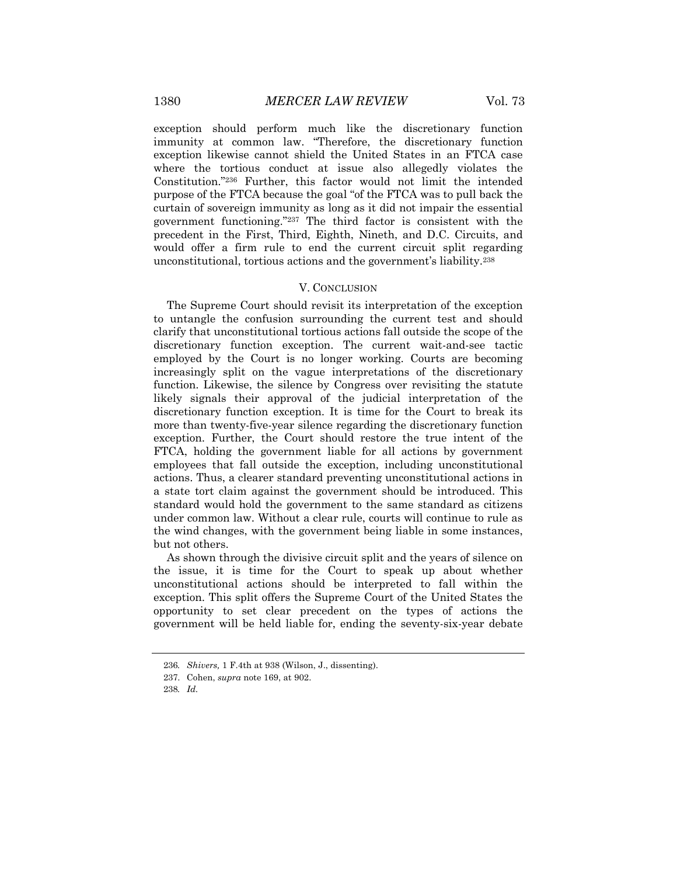exception should perform much like the discretionary function immunity at common law. "Therefore, the discretionary function exception likewise cannot shield the United States in an FTCA case where the tortious conduct at issue also allegedly violates the Constitution."236 Further, this factor would not limit the intended purpose of the FTCA because the goal "of the FTCA was to pull back the curtain of sovereign immunity as long as it did not impair the essential government functioning."237 The third factor is consistent with the precedent in the First, Third, Eighth, Nineth, and D.C. Circuits, and would offer a firm rule to end the current circuit split regarding unconstitutional, tortious actions and the government's liability.238

#### V. CONCLUSION

The Supreme Court should revisit its interpretation of the exception to untangle the confusion surrounding the current test and should clarify that unconstitutional tortious actions fall outside the scope of the discretionary function exception. The current wait-and-see tactic employed by the Court is no longer working. Courts are becoming increasingly split on the vague interpretations of the discretionary function. Likewise, the silence by Congress over revisiting the statute likely signals their approval of the judicial interpretation of the discretionary function exception. It is time for the Court to break its more than twenty-five-year silence regarding the discretionary function exception. Further, the Court should restore the true intent of the FTCA, holding the government liable for all actions by government employees that fall outside the exception, including unconstitutional actions. Thus, a clearer standard preventing unconstitutional actions in a state tort claim against the government should be introduced. This standard would hold the government to the same standard as citizens under common law. Without a clear rule, courts will continue to rule as the wind changes, with the government being liable in some instances, but not others.

As shown through the divisive circuit split and the years of silence on the issue, it is time for the Court to speak up about whether unconstitutional actions should be interpreted to fall within the exception. This split offers the Supreme Court of the United States the opportunity to set clear precedent on the types of actions the government will be held liable for, ending the seventy-six-year debate

<sup>236</sup>*. Shivers,* 1 F.4th at 938 (Wilson, J., dissenting).

<sup>237.</sup> Cohen, *supra* note 169, at 902.

<sup>238</sup>*. Id.*